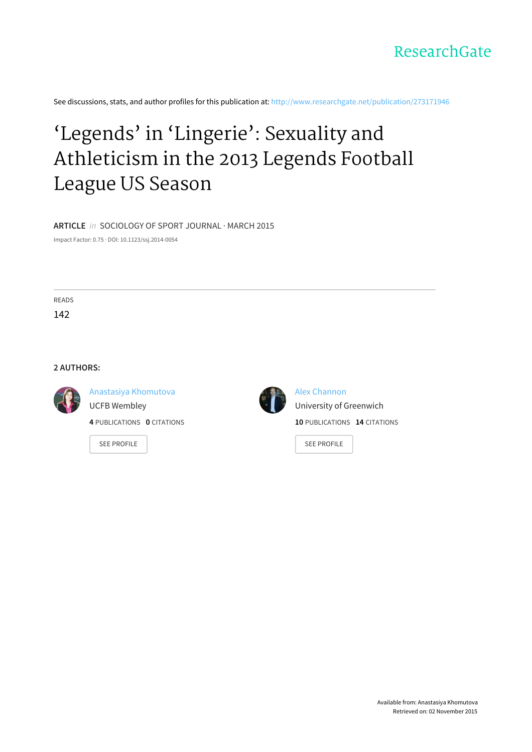

See discussions, stats, and author profiles for this publication at: [http://www.researchgate.net/publication/273171946](http://www.researchgate.net/publication/273171946_Legends_in_Lingerie_Sexuality_and_Athleticism_in_the_2013_Legends_Football_League_US_Season?enrichId=rgreq-5d041516-f363-4816-b323-89e6232f6bcb&enrichSource=Y292ZXJQYWdlOzI3MzE3MTk0NjtBUzoyMDQzNTU0NjM1ODU3OTJAMTQyNTczMzU0Nzk0Nw%3D%3D&el=1_x_2)

# 'Legends' in 'Lingerie': Sexuality and [Athleticism](http://www.researchgate.net/publication/273171946_Legends_in_Lingerie_Sexuality_and_Athleticism_in_the_2013_Legends_Football_League_US_Season?enrichId=rgreq-5d041516-f363-4816-b323-89e6232f6bcb&enrichSource=Y292ZXJQYWdlOzI3MzE3MTk0NjtBUzoyMDQzNTU0NjM1ODU3OTJAMTQyNTczMzU0Nzk0Nw%3D%3D&el=1_x_3) in the 2013 Legends Football League US Season

**ARTICLE** in SOCIOLOGY OF SPORT JOURNAL · MARCH 2015

Impact Factor: 0.75 · DOI: 10.1123/ssj.2014-0054

READS

142

#### **2 AUTHORS:**



Anastasiya [Khomutova](http://www.researchgate.net/profile/Anastasiya_Khomutova?enrichId=rgreq-5d041516-f363-4816-b323-89e6232f6bcb&enrichSource=Y292ZXJQYWdlOzI3MzE3MTk0NjtBUzoyMDQzNTU0NjM1ODU3OTJAMTQyNTczMzU0Nzk0Nw%3D%3D&el=1_x_5) UCFB Wembley **4** PUBLICATIONS **0** CITATIONS

SEE [PROFILE](http://www.researchgate.net/profile/Anastasiya_Khomutova?enrichId=rgreq-5d041516-f363-4816-b323-89e6232f6bcb&enrichSource=Y292ZXJQYWdlOzI3MzE3MTk0NjtBUzoyMDQzNTU0NjM1ODU3OTJAMTQyNTczMzU0Nzk0Nw%3D%3D&el=1_x_7)



Alex [Channon](http://www.researchgate.net/profile/Alex_Channon?enrichId=rgreq-5d041516-f363-4816-b323-89e6232f6bcb&enrichSource=Y292ZXJQYWdlOzI3MzE3MTk0NjtBUzoyMDQzNTU0NjM1ODU3OTJAMTQyNTczMzU0Nzk0Nw%3D%3D&el=1_x_5) University of [Greenwich](http://www.researchgate.net/institution/University_of_Greenwich?enrichId=rgreq-5d041516-f363-4816-b323-89e6232f6bcb&enrichSource=Y292ZXJQYWdlOzI3MzE3MTk0NjtBUzoyMDQzNTU0NjM1ODU3OTJAMTQyNTczMzU0Nzk0Nw%3D%3D&el=1_x_6) **10** PUBLICATIONS **14** CITATIONS

SEE [PROFILE](http://www.researchgate.net/profile/Alex_Channon?enrichId=rgreq-5d041516-f363-4816-b323-89e6232f6bcb&enrichSource=Y292ZXJQYWdlOzI3MzE3MTk0NjtBUzoyMDQzNTU0NjM1ODU3OTJAMTQyNTczMzU0Nzk0Nw%3D%3D&el=1_x_7)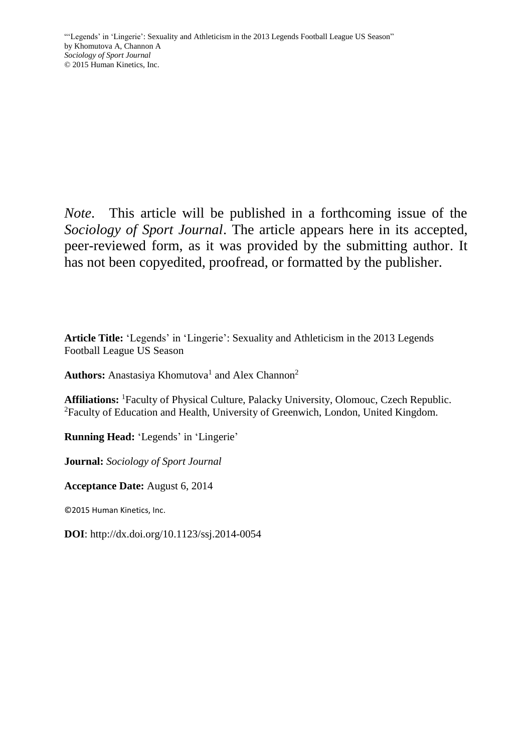*Note*. This article will be published in a forthcoming issue of the *Sociology of Sport Journal*. The article appears here in its accepted, peer-reviewed form, as it was provided by the submitting author. It has not been copyedited, proofread, or formatted by the publisher.

**Article Title:** 'Legends' in 'Lingerie': Sexuality and Athleticism in the 2013 Legends Football League US Season

Authors: Anastasiya Khomutova<sup>1</sup> and Alex Channon<sup>2</sup>

**Affiliations:** <sup>1</sup>Faculty of Physical Culture, Palacky University, Olomouc, Czech Republic. <sup>2</sup>Faculty of Education and Health, University of Greenwich, London, United Kingdom.

**Running Head:** 'Legends' in 'Lingerie'

**Journal:** *Sociology of Sport Journal* 

**Acceptance Date:** August 6, 2014

©2015 Human Kinetics, Inc.

**DOI**: http://dx.doi.org/10.1123/ssj.2014-0054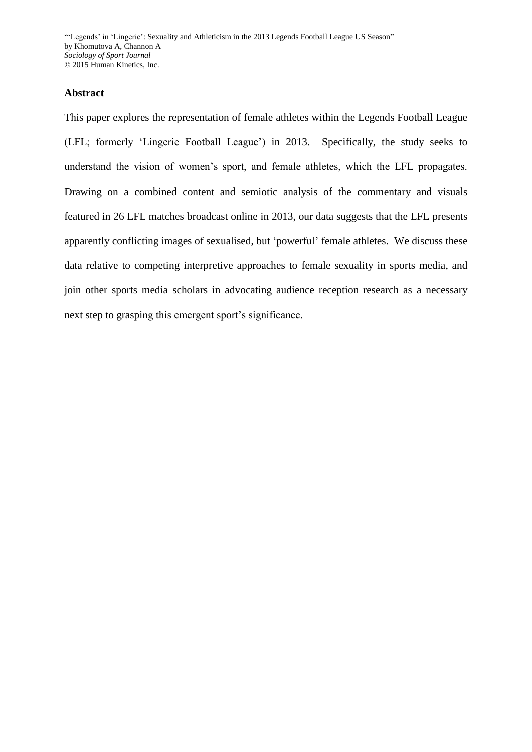# **Abstract**

This paper explores the representation of female athletes within the Legends Football League (LFL; formerly 'Lingerie Football League') in 2013. Specifically, the study seeks to understand the vision of women's sport, and female athletes, which the LFL propagates. Drawing on a combined content and semiotic analysis of the commentary and visuals featured in 26 LFL matches broadcast online in 2013, our data suggests that the LFL presents apparently conflicting images of sexualised, but 'powerful' female athletes. We discuss these data relative to competing interpretive approaches to female sexuality in sports media, and join other sports media scholars in advocating audience reception research as a necessary next step to grasping this emergent sport's significance.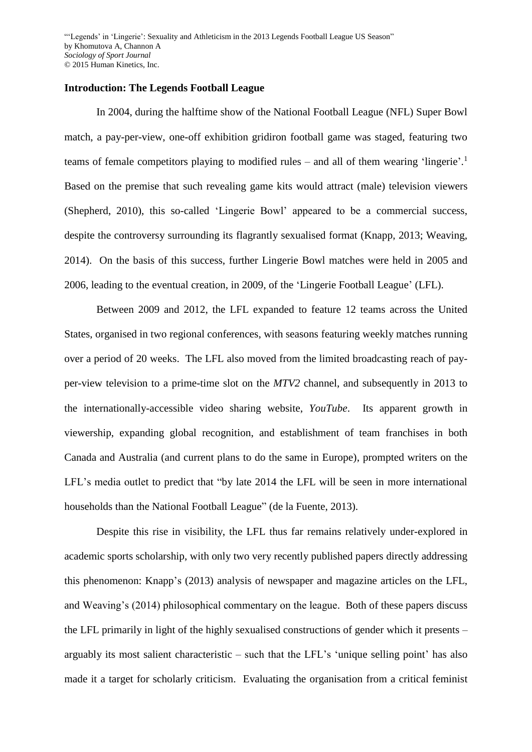#### **Introduction: The Legends Football League**

In 2004, during the halftime show of the National Football League (NFL) Super Bowl match, a pay-per-view, one-off exhibition gridiron football game was staged, featuring two teams of female competitors playing to modified rules – and all of them wearing 'lingerie'.<sup>1</sup> Based on the premise that such revealing game kits would attract (male) television viewers (Shepherd, 2010), this so-called 'Lingerie Bowl' appeared to be a commercial success, despite the controversy surrounding its flagrantly sexualised format (Knapp, 2013; Weaving, 2014). On the basis of this success, further Lingerie Bowl matches were held in 2005 and 2006, leading to the eventual creation, in 2009, of the 'Lingerie Football League' (LFL).

Between 2009 and 2012, the LFL expanded to feature 12 teams across the United States, organised in two regional conferences, with seasons featuring weekly matches running over a period of 20 weeks. The LFL also moved from the limited broadcasting reach of payper-view television to a prime-time slot on the *MTV2* channel, and subsequently in 2013 to the internationally-accessible video sharing website, *YouTube*. Its apparent growth in viewership, expanding global recognition, and establishment of team franchises in both Canada and Australia (and current plans to do the same in Europe), prompted writers on the LFL's media outlet to predict that "by late 2014 the LFL will be seen in more international households than the National Football League" (de la Fuente, 2013).

Despite this rise in visibility, the LFL thus far remains relatively under-explored in academic sports scholarship, with only two very recently published papers directly addressing this phenomenon: Knapp's (2013) analysis of newspaper and magazine articles on the LFL, and Weaving's (2014) philosophical commentary on the league. Both of these papers discuss the LFL primarily in light of the highly sexualised constructions of gender which it presents – arguably its most salient characteristic – such that the LFL's 'unique selling point' has also made it a target for scholarly criticism. Evaluating the organisation from a critical feminist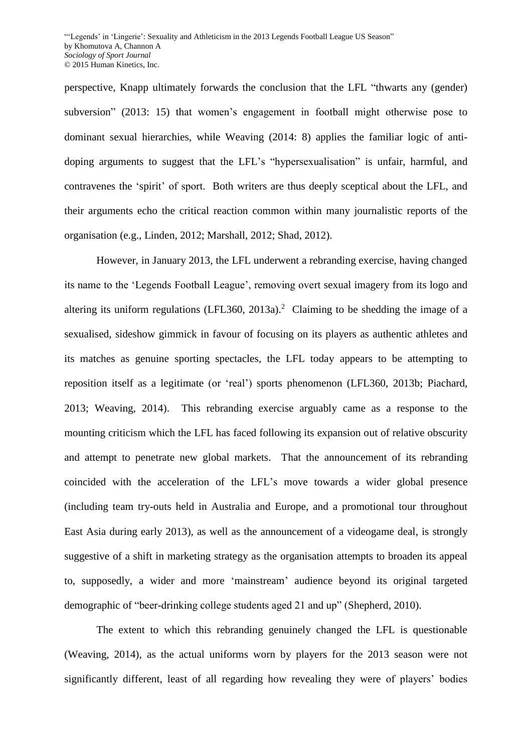perspective, Knapp ultimately forwards the conclusion that the LFL "thwarts any (gender) subversion" (2013: 15) that women's engagement in football might otherwise pose to dominant sexual hierarchies, while Weaving (2014: 8) applies the familiar logic of antidoping arguments to suggest that the LFL's "hypersexualisation" is unfair, harmful, and contravenes the 'spirit' of sport. Both writers are thus deeply sceptical about the LFL, and their arguments echo the critical reaction common within many journalistic reports of the organisation (e.g., Linden, 2012; Marshall, 2012; Shad, 2012).

However, in January 2013, the LFL underwent a rebranding exercise, having changed its name to the 'Legends Football League', removing overt sexual imagery from its logo and altering its uniform regulations (LFL360, 2013a).<sup>2</sup> Claiming to be shedding the image of a sexualised, sideshow gimmick in favour of focusing on its players as authentic athletes and its matches as genuine sporting spectacles, the LFL today appears to be attempting to reposition itself as a legitimate (or 'real') sports phenomenon (LFL360, 2013b; Piachard, 2013; Weaving, 2014). This rebranding exercise arguably came as a response to the mounting criticism which the LFL has faced following its expansion out of relative obscurity and attempt to penetrate new global markets. That the announcement of its rebranding coincided with the acceleration of the LFL's move towards a wider global presence (including team try-outs held in Australia and Europe, and a promotional tour throughout East Asia during early 2013), as well as the announcement of a videogame deal, is strongly suggestive of a shift in marketing strategy as the organisation attempts to broaden its appeal to, supposedly, a wider and more 'mainstream' audience beyond its original targeted demographic of "beer-drinking college students aged 21 and up" (Shepherd, 2010).

The extent to which this rebranding genuinely changed the LFL is questionable (Weaving, 2014), as the actual uniforms worn by players for the 2013 season were not significantly different, least of all regarding how revealing they were of players' bodies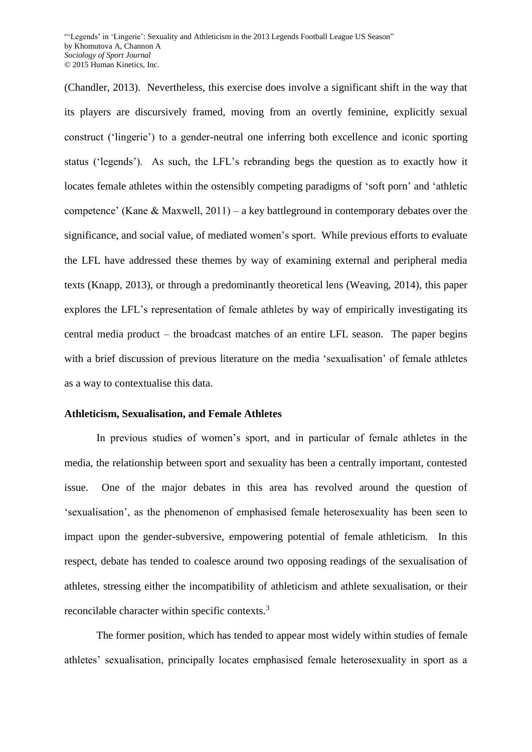(Chandler, 2013). Nevertheless, this exercise does involve a significant shift in the way that its players are discursively framed, moving from an overtly feminine, explicitly sexual construct ('lingerie') to a gender-neutral one inferring both excellence and iconic sporting status ('legends'). As such, the LFL's rebranding begs the question as to exactly how it locates female athletes within the ostensibly competing paradigms of 'soft porn' and 'athletic competence' (Kane & Maxwell, 2011) – a key battleground in contemporary debates over the significance, and social value, of mediated women's sport. While previous efforts to evaluate the LFL have addressed these themes by way of examining external and peripheral media texts (Knapp, 2013), or through a predominantly theoretical lens (Weaving, 2014), this paper explores the LFL's representation of female athletes by way of empirically investigating its central media product – the broadcast matches of an entire LFL season. The paper begins with a brief discussion of previous literature on the media 'sexualisation' of female athletes as a way to contextualise this data.

#### **Athleticism, Sexualisation, and Female Athletes**

In previous studies of women's sport, and in particular of female athletes in the media, the relationship between sport and sexuality has been a centrally important, contested issue. One of the major debates in this area has revolved around the question of 'sexualisation', as the phenomenon of emphasised female heterosexuality has been seen to impact upon the gender-subversive, empowering potential of female athleticism. In this respect, debate has tended to coalesce around two opposing readings of the sexualisation of athletes, stressing either the incompatibility of athleticism and athlete sexualisation, or their reconcilable character within specific contexts.<sup>3</sup>

The former position, which has tended to appear most widely within studies of female athletes' sexualisation, principally locates emphasised female heterosexuality in sport as a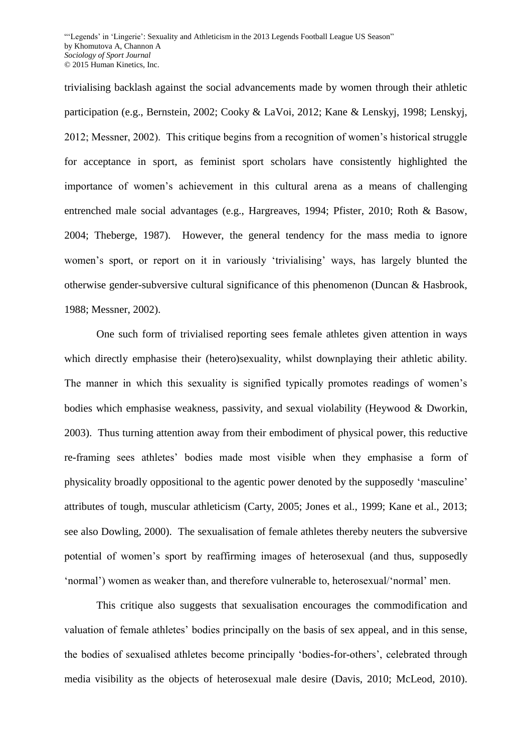trivialising backlash against the social advancements made by women through their athletic participation (e.g., Bernstein, 2002; Cooky & LaVoi, 2012; Kane & Lenskyj, 1998; Lenskyj, 2012; Messner, 2002). This critique begins from a recognition of women's historical struggle for acceptance in sport, as feminist sport scholars have consistently highlighted the importance of women's achievement in this cultural arena as a means of challenging entrenched male social advantages (e.g., Hargreaves, 1994; Pfister, 2010; Roth & Basow, 2004; Theberge, 1987). However, the general tendency for the mass media to ignore women's sport, or report on it in variously 'trivialising' ways, has largely blunted the otherwise gender-subversive cultural significance of this phenomenon (Duncan & Hasbrook, 1988; Messner, 2002).

One such form of trivialised reporting sees female athletes given attention in ways which directly emphasise their (hetero)sexuality, whilst downplaying their athletic ability. The manner in which this sexuality is signified typically promotes readings of women's bodies which emphasise weakness, passivity, and sexual violability (Heywood & Dworkin, 2003). Thus turning attention away from their embodiment of physical power, this reductive re-framing sees athletes' bodies made most visible when they emphasise a form of physicality broadly oppositional to the agentic power denoted by the supposedly 'masculine' attributes of tough, muscular athleticism (Carty, 2005; Jones et al., 1999; Kane et al., 2013; see also Dowling, 2000). The sexualisation of female athletes thereby neuters the subversive potential of women's sport by reaffirming images of heterosexual (and thus, supposedly 'normal') women as weaker than, and therefore vulnerable to, heterosexual/'normal' men.

This critique also suggests that sexualisation encourages the commodification and valuation of female athletes' bodies principally on the basis of sex appeal, and in this sense, the bodies of sexualised athletes become principally 'bodies-for-others', celebrated through media visibility as the objects of heterosexual male desire (Davis, 2010; McLeod, 2010).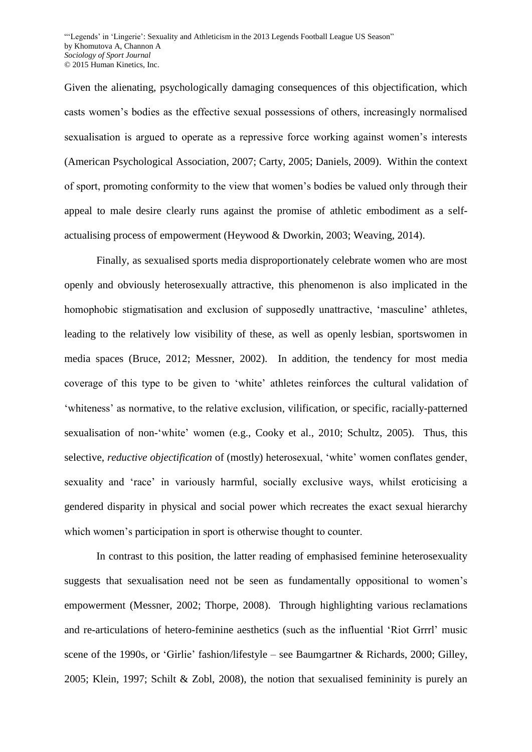Given the alienating, psychologically damaging consequences of this objectification, which casts women's bodies as the effective sexual possessions of others, increasingly normalised sexualisation is argued to operate as a repressive force working against women's interests (American Psychological Association, 2007; Carty, 2005; Daniels, 2009). Within the context of sport, promoting conformity to the view that women's bodies be valued only through their appeal to male desire clearly runs against the promise of athletic embodiment as a selfactualising process of empowerment (Heywood & Dworkin, 2003; Weaving, 2014).

Finally, as sexualised sports media disproportionately celebrate women who are most openly and obviously heterosexually attractive, this phenomenon is also implicated in the homophobic stigmatisation and exclusion of supposedly unattractive, 'masculine' athletes, leading to the relatively low visibility of these, as well as openly lesbian, sportswomen in media spaces (Bruce, 2012; Messner, 2002). In addition, the tendency for most media coverage of this type to be given to 'white' athletes reinforces the cultural validation of 'whiteness' as normative, to the relative exclusion, vilification, or specific, racially-patterned sexualisation of non-'white' women (e.g., Cooky et al., 2010; Schultz, 2005). Thus, this selective, *reductive objectification* of (mostly) heterosexual, 'white' women conflates gender, sexuality and 'race' in variously harmful, socially exclusive ways, whilst eroticising a gendered disparity in physical and social power which recreates the exact sexual hierarchy which women's participation in sport is otherwise thought to counter.

In contrast to this position, the latter reading of emphasised feminine heterosexuality suggests that sexualisation need not be seen as fundamentally oppositional to women's empowerment (Messner, 2002; Thorpe, 2008). Through highlighting various reclamations and re-articulations of hetero-feminine aesthetics (such as the influential 'Riot Grrrl' music scene of the 1990s, or 'Girlie' fashion/lifestyle – see Baumgartner & Richards, 2000; Gilley, 2005; Klein, 1997; Schilt & Zobl, 2008), the notion that sexualised femininity is purely an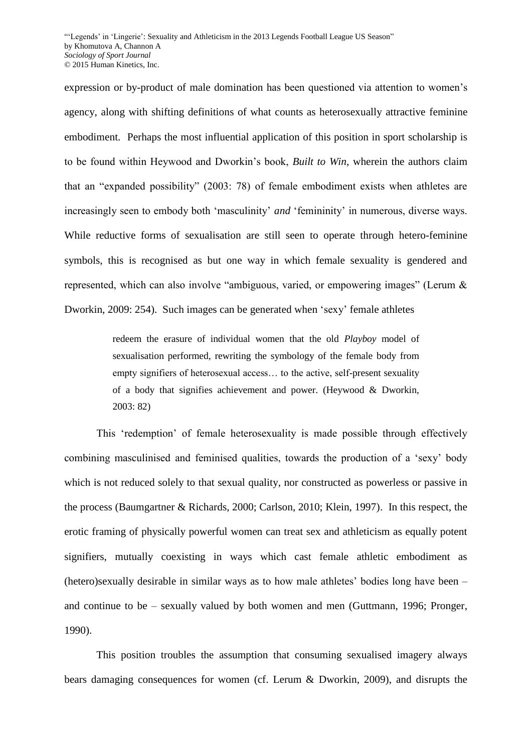expression or by-product of male domination has been questioned via attention to women's agency, along with shifting definitions of what counts as heterosexually attractive feminine embodiment. Perhaps the most influential application of this position in sport scholarship is to be found within Heywood and Dworkin's book, *Built to Win*, wherein the authors claim that an "expanded possibility" (2003: 78) of female embodiment exists when athletes are increasingly seen to embody both 'masculinity' *and* 'femininity' in numerous, diverse ways. While reductive forms of sexualisation are still seen to operate through hetero-feminine symbols, this is recognised as but one way in which female sexuality is gendered and represented, which can also involve "ambiguous, varied, or empowering images" (Lerum & Dworkin, 2009: 254). Such images can be generated when 'sexy' female athletes

> redeem the erasure of individual women that the old *Playboy* model of sexualisation performed, rewriting the symbology of the female body from empty signifiers of heterosexual access… to the active, self-present sexuality of a body that signifies achievement and power. (Heywood & Dworkin, 2003: 82)

This 'redemption' of female heterosexuality is made possible through effectively combining masculinised and feminised qualities, towards the production of a 'sexy' body which is not reduced solely to that sexual quality, nor constructed as powerless or passive in the process (Baumgartner & Richards, 2000; Carlson, 2010; Klein, 1997). In this respect, the erotic framing of physically powerful women can treat sex and athleticism as equally potent signifiers, mutually coexisting in ways which cast female athletic embodiment as (hetero)sexually desirable in similar ways as to how male athletes' bodies long have been – and continue to be – sexually valued by both women and men (Guttmann, 1996; Pronger, 1990).

This position troubles the assumption that consuming sexualised imagery always bears damaging consequences for women (cf. Lerum & Dworkin, 2009), and disrupts the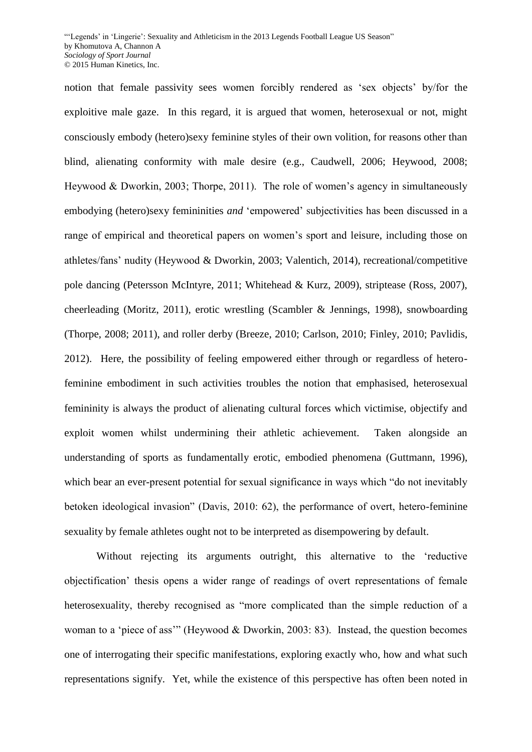notion that female passivity sees women forcibly rendered as 'sex objects' by/for the exploitive male gaze. In this regard, it is argued that women, heterosexual or not, might consciously embody (hetero)sexy feminine styles of their own volition, for reasons other than blind, alienating conformity with male desire (e.g., Caudwell, 2006; Heywood, 2008; Heywood & Dworkin, 2003; Thorpe, 2011). The role of women's agency in simultaneously embodying (hetero)sexy femininities *and* 'empowered' subjectivities has been discussed in a range of empirical and theoretical papers on women's sport and leisure, including those on athletes/fans' nudity (Heywood & Dworkin, 2003; Valentich, 2014), recreational/competitive pole dancing (Petersson McIntyre, 2011; Whitehead & Kurz, 2009), striptease (Ross, 2007), cheerleading (Moritz, 2011), erotic wrestling (Scambler & Jennings, 1998), snowboarding (Thorpe, 2008; 2011), and roller derby (Breeze, 2010; Carlson, 2010; Finley, 2010; Pavlidis, 2012). Here, the possibility of feeling empowered either through or regardless of heterofeminine embodiment in such activities troubles the notion that emphasised, heterosexual femininity is always the product of alienating cultural forces which victimise, objectify and exploit women whilst undermining their athletic achievement. Taken alongside an understanding of sports as fundamentally erotic, embodied phenomena (Guttmann, 1996), which bear an ever-present potential for sexual significance in ways which "do not inevitably betoken ideological invasion" (Davis, 2010: 62), the performance of overt, hetero-feminine sexuality by female athletes ought not to be interpreted as disempowering by default.

Without rejecting its arguments outright, this alternative to the 'reductive objectification' thesis opens a wider range of readings of overt representations of female heterosexuality, thereby recognised as "more complicated than the simple reduction of a woman to a 'piece of ass'" (Heywood & Dworkin, 2003: 83). Instead, the question becomes one of interrogating their specific manifestations, exploring exactly who, how and what such representations signify. Yet, while the existence of this perspective has often been noted in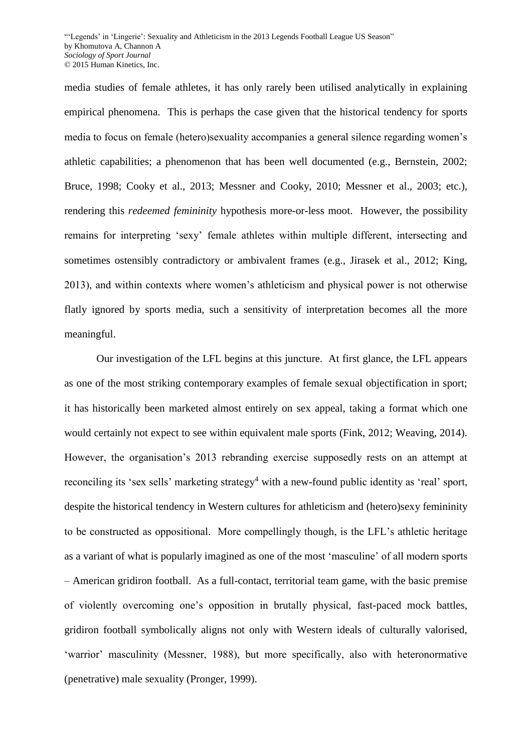media studies of female athletes, it has only rarely been utilised analytically in explaining empirical phenomena. This is perhaps the case given that the historical tendency for sports media to focus on female (hetero)sexuality accompanies a general silence regarding women's athletic capabilities; a phenomenon that has been well documented (e.g., Bernstein, 2002; Bruce, 1998; Cooky et al., 2013; Messner and Cooky, 2010; Messner et al., 2003; etc.), rendering this *redeemed femininity* hypothesis more-or-less moot. However, the possibility remains for interpreting 'sexy' female athletes within multiple different, intersecting and sometimes ostensibly contradictory or ambivalent frames (e.g., Jirasek et al., 2012; King, 2013), and within contexts where women's athleticism and physical power is not otherwise flatly ignored by sports media, such a sensitivity of interpretation becomes all the more meaningful.

Our investigation of the LFL begins at this juncture. At first glance, the LFL appears as one of the most striking contemporary examples of female sexual objectification in sport; it has historically been marketed almost entirely on sex appeal, taking a format which one would certainly not expect to see within equivalent male sports (Fink, 2012; Weaving, 2014). However, the organisation's 2013 rebranding exercise supposedly rests on an attempt at reconciling its 'sex sells' marketing strategy<sup>4</sup> with a new-found public identity as 'real' sport, despite the historical tendency in Western cultures for athleticism and (hetero)sexy femininity to be constructed as oppositional. More compellingly though, is the LFL's athletic heritage as a variant of what is popularly imagined as one of the most 'masculine' of all modern sports – American gridiron football. As a full-contact, territorial team game, with the basic premise of violently overcoming one's opposition in brutally physical, fast-paced mock battles, gridiron football symbolically aligns not only with Western ideals of culturally valorised, 'warrior' masculinity (Messner, 1988), but more specifically, also with heteronormative (penetrative) male sexuality (Pronger, 1999).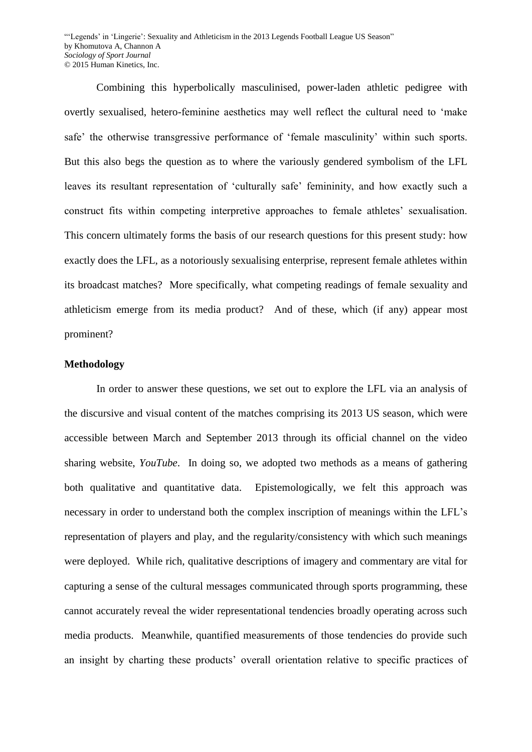Combining this hyperbolically masculinised, power-laden athletic pedigree with overtly sexualised, hetero-feminine aesthetics may well reflect the cultural need to 'make safe' the otherwise transgressive performance of 'female masculinity' within such sports. But this also begs the question as to where the variously gendered symbolism of the LFL leaves its resultant representation of 'culturally safe' femininity, and how exactly such a construct fits within competing interpretive approaches to female athletes' sexualisation. This concern ultimately forms the basis of our research questions for this present study: how exactly does the LFL, as a notoriously sexualising enterprise, represent female athletes within its broadcast matches? More specifically, what competing readings of female sexuality and athleticism emerge from its media product? And of these, which (if any) appear most prominent?

#### **Methodology**

In order to answer these questions, we set out to explore the LFL via an analysis of the discursive and visual content of the matches comprising its 2013 US season, which were accessible between March and September 2013 through its official channel on the video sharing website, *YouTube*. In doing so, we adopted two methods as a means of gathering both qualitative and quantitative data. Epistemologically, we felt this approach was necessary in order to understand both the complex inscription of meanings within the LFL's representation of players and play, and the regularity/consistency with which such meanings were deployed. While rich, qualitative descriptions of imagery and commentary are vital for capturing a sense of the cultural messages communicated through sports programming, these cannot accurately reveal the wider representational tendencies broadly operating across such media products. Meanwhile, quantified measurements of those tendencies do provide such an insight by charting these products' overall orientation relative to specific practices of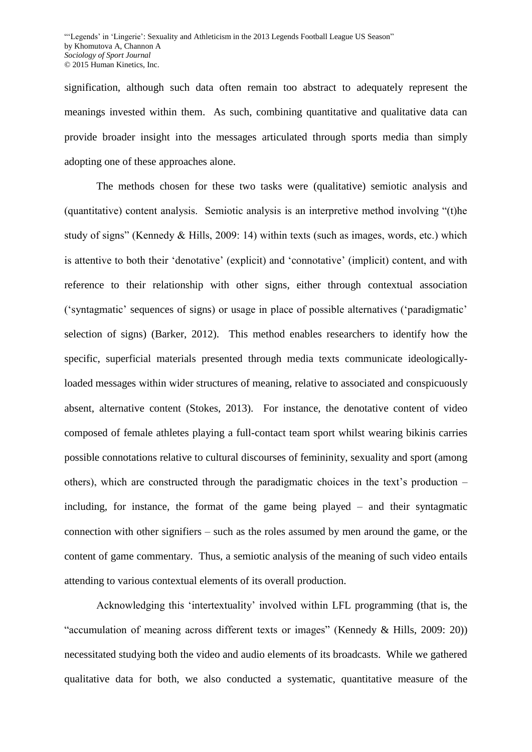signification, although such data often remain too abstract to adequately represent the meanings invested within them. As such, combining quantitative and qualitative data can provide broader insight into the messages articulated through sports media than simply adopting one of these approaches alone.

The methods chosen for these two tasks were (qualitative) semiotic analysis and (quantitative) content analysis. Semiotic analysis is an interpretive method involving "(t)he study of signs" (Kennedy & Hills, 2009: 14) within texts (such as images, words, etc.) which is attentive to both their 'denotative' (explicit) and 'connotative' (implicit) content, and with reference to their relationship with other signs, either through contextual association ('syntagmatic' sequences of signs) or usage in place of possible alternatives ('paradigmatic' selection of signs) (Barker, 2012). This method enables researchers to identify how the specific, superficial materials presented through media texts communicate ideologicallyloaded messages within wider structures of meaning, relative to associated and conspicuously absent, alternative content (Stokes, 2013). For instance, the denotative content of video composed of female athletes playing a full-contact team sport whilst wearing bikinis carries possible connotations relative to cultural discourses of femininity, sexuality and sport (among others), which are constructed through the paradigmatic choices in the text's production – including, for instance, the format of the game being played – and their syntagmatic connection with other signifiers – such as the roles assumed by men around the game, or the content of game commentary. Thus, a semiotic analysis of the meaning of such video entails attending to various contextual elements of its overall production.

Acknowledging this 'intertextuality' involved within LFL programming (that is, the "accumulation of meaning across different texts or images" (Kennedy & Hills, 2009: 20)) necessitated studying both the video and audio elements of its broadcasts. While we gathered qualitative data for both, we also conducted a systematic, quantitative measure of the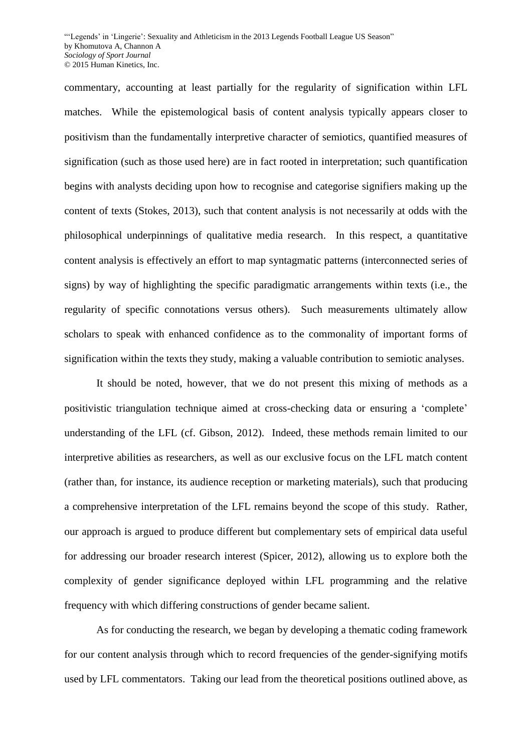commentary, accounting at least partially for the regularity of signification within LFL matches. While the epistemological basis of content analysis typically appears closer to positivism than the fundamentally interpretive character of semiotics, quantified measures of signification (such as those used here) are in fact rooted in interpretation; such quantification begins with analysts deciding upon how to recognise and categorise signifiers making up the content of texts (Stokes, 2013), such that content analysis is not necessarily at odds with the philosophical underpinnings of qualitative media research. In this respect, a quantitative content analysis is effectively an effort to map syntagmatic patterns (interconnected series of signs) by way of highlighting the specific paradigmatic arrangements within texts (i.e., the regularity of specific connotations versus others). Such measurements ultimately allow scholars to speak with enhanced confidence as to the commonality of important forms of signification within the texts they study, making a valuable contribution to semiotic analyses.

It should be noted, however, that we do not present this mixing of methods as a positivistic triangulation technique aimed at cross-checking data or ensuring a 'complete' understanding of the LFL (cf. Gibson, 2012). Indeed, these methods remain limited to our interpretive abilities as researchers, as well as our exclusive focus on the LFL match content (rather than, for instance, its audience reception or marketing materials), such that producing a comprehensive interpretation of the LFL remains beyond the scope of this study. Rather, our approach is argued to produce different but complementary sets of empirical data useful for addressing our broader research interest (Spicer, 2012), allowing us to explore both the complexity of gender significance deployed within LFL programming and the relative frequency with which differing constructions of gender became salient.

As for conducting the research, we began by developing a thematic coding framework for our content analysis through which to record frequencies of the gender-signifying motifs used by LFL commentators. Taking our lead from the theoretical positions outlined above, as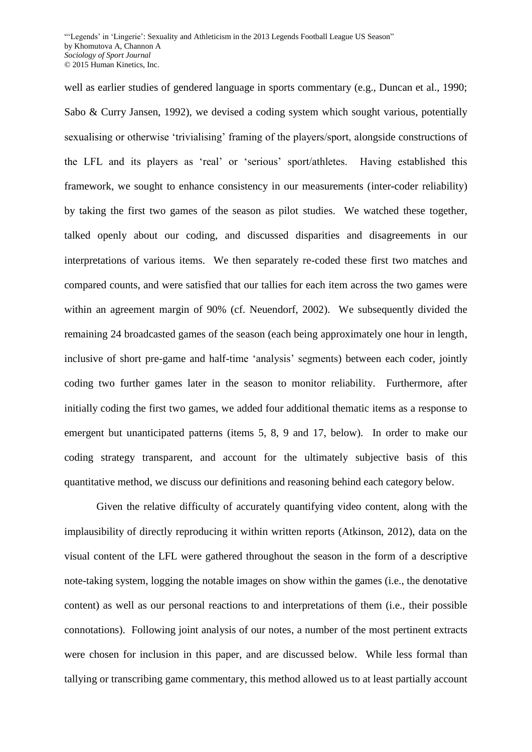well as earlier studies of gendered language in sports commentary (e.g., Duncan et al., 1990; Sabo & Curry Jansen, 1992), we devised a coding system which sought various, potentially sexualising or otherwise 'trivialising' framing of the players/sport, alongside constructions of the LFL and its players as 'real' or 'serious' sport/athletes. Having established this framework, we sought to enhance consistency in our measurements (inter-coder reliability) by taking the first two games of the season as pilot studies. We watched these together, talked openly about our coding, and discussed disparities and disagreements in our interpretations of various items. We then separately re-coded these first two matches and compared counts, and were satisfied that our tallies for each item across the two games were within an agreement margin of 90% (cf. Neuendorf, 2002). We subsequently divided the remaining 24 broadcasted games of the season (each being approximately one hour in length, inclusive of short pre-game and half-time 'analysis' segments) between each coder, jointly coding two further games later in the season to monitor reliability. Furthermore, after initially coding the first two games, we added four additional thematic items as a response to emergent but unanticipated patterns (items 5, 8, 9 and 17, below). In order to make our coding strategy transparent, and account for the ultimately subjective basis of this quantitative method, we discuss our definitions and reasoning behind each category below.

Given the relative difficulty of accurately quantifying video content, along with the implausibility of directly reproducing it within written reports (Atkinson, 2012), data on the visual content of the LFL were gathered throughout the season in the form of a descriptive note-taking system, logging the notable images on show within the games (i.e., the denotative content) as well as our personal reactions to and interpretations of them (i.e., their possible connotations). Following joint analysis of our notes, a number of the most pertinent extracts were chosen for inclusion in this paper, and are discussed below. While less formal than tallying or transcribing game commentary, this method allowed us to at least partially account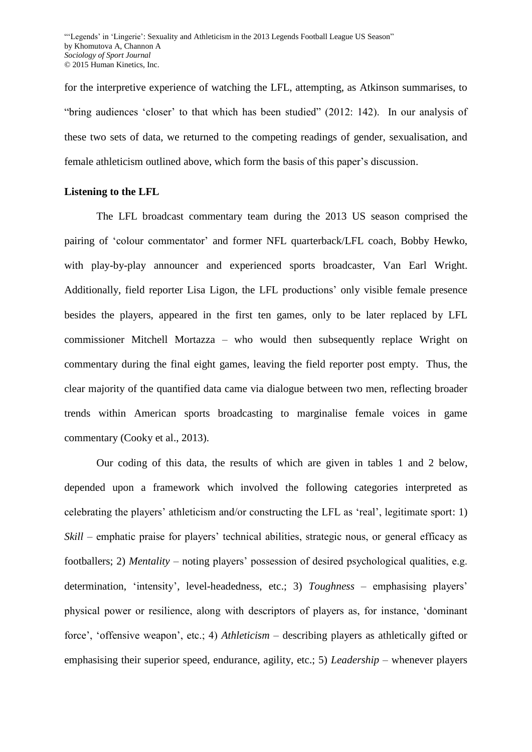for the interpretive experience of watching the LFL, attempting, as Atkinson summarises, to "bring audiences 'closer' to that which has been studied" (2012: 142). In our analysis of these two sets of data, we returned to the competing readings of gender, sexualisation, and female athleticism outlined above, which form the basis of this paper's discussion.

## **Listening to the LFL**

The LFL broadcast commentary team during the 2013 US season comprised the pairing of 'colour commentator' and former NFL quarterback/LFL coach, Bobby Hewko, with play-by-play announcer and experienced sports broadcaster, Van Earl Wright. Additionally, field reporter Lisa Ligon, the LFL productions' only visible female presence besides the players, appeared in the first ten games, only to be later replaced by LFL commissioner Mitchell Mortazza – who would then subsequently replace Wright on commentary during the final eight games, leaving the field reporter post empty. Thus, the clear majority of the quantified data came via dialogue between two men, reflecting broader trends within American sports broadcasting to marginalise female voices in game commentary (Cooky et al., 2013).

Our coding of this data, the results of which are given in tables 1 and 2 below, depended upon a framework which involved the following categories interpreted as celebrating the players' athleticism and/or constructing the LFL as 'real', legitimate sport: 1) *Skill* – emphatic praise for players' technical abilities, strategic nous, or general efficacy as footballers; 2) *Mentality* – noting players' possession of desired psychological qualities, e.g. determination, 'intensity', level-headedness, etc.; 3) *Toughness –* emphasising players' physical power or resilience, along with descriptors of players as, for instance, 'dominant force', 'offensive weapon', etc.; 4) *Athleticism* – describing players as athletically gifted or emphasising their superior speed, endurance, agility, etc.; 5) *Leadership* – whenever players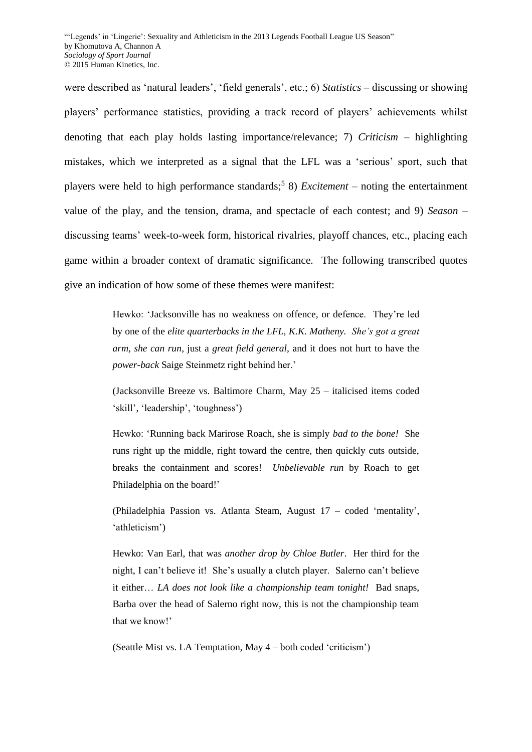were described as 'natural leaders', 'field generals', etc.; 6) *Statistics –* discussing or showing players' performance statistics, providing a track record of players' achievements whilst denoting that each play holds lasting importance/relevance; 7) *Criticism* – highlighting mistakes, which we interpreted as a signal that the LFL was a 'serious' sport, such that players were held to high performance standards;<sup>5</sup> 8) *Excitement* – noting the entertainment value of the play, and the tension, drama, and spectacle of each contest; and 9) *Season* – discussing teams' week-to-week form, historical rivalries, playoff chances, etc., placing each game within a broader context of dramatic significance. The following transcribed quotes give an indication of how some of these themes were manifest:

> Hewko: 'Jacksonville has no weakness on offence, or defence. They're led by one of the *elite quarterbacks in the LFL, K.K. Matheny. She's got a great arm, she can run*, just a *great field general*, and it does not hurt to have the *power-back* Saige Steinmetz right behind her.'

> (Jacksonville Breeze vs. Baltimore Charm, May 25 – italicised items coded 'skill', 'leadership', 'toughness')

> Hewko: 'Running back Marirose Roach, she is simply *bad to the bone!* She runs right up the middle, right toward the centre, then quickly cuts outside, breaks the containment and scores! *Unbelievable run* by Roach to get Philadelphia on the board!'

> (Philadelphia Passion vs. Atlanta Steam, August 17 – coded 'mentality', 'athleticism')

> Hewko: Van Earl, that was *another drop by Chloe Butler*. Her third for the night, I can't believe it! She's usually a clutch player. Salerno can't believe it either… *LA does not look like a championship team tonight!* Bad snaps, Barba over the head of Salerno right now, this is not the championship team that we know!'

(Seattle Mist vs. LA Temptation, May 4 – both coded 'criticism')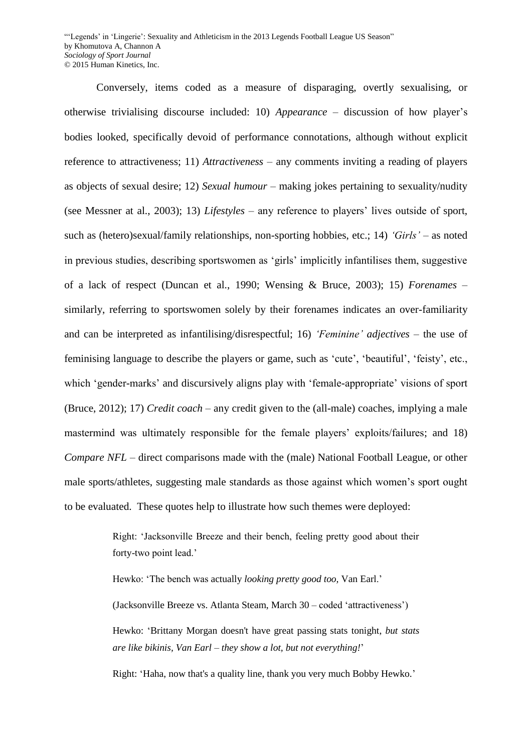Conversely, items coded as a measure of disparaging, overtly sexualising, or otherwise trivialising discourse included: 10) *Appearance* – discussion of how player's bodies looked, specifically devoid of performance connotations, although without explicit reference to attractiveness; 11) *Attractiveness –* any comments inviting a reading of players as objects of sexual desire; 12) *Sexual humour* – making jokes pertaining to sexuality/nudity (see Messner at al., 2003); 13) *Lifestyles –* any reference to players' lives outside of sport, such as (hetero)sexual/family relationships, non-sporting hobbies, etc.; 14) *'Girls' –* as noted in previous studies, describing sportswomen as 'girls' implicitly infantilises them, suggestive of a lack of respect (Duncan et al., 1990; Wensing & Bruce, 2003); 15) *Forenames –* similarly, referring to sportswomen solely by their forenames indicates an over-familiarity and can be interpreted as infantilising/disrespectful; 16) *'Feminine' adjectives* – the use of feminising language to describe the players or game, such as 'cute', 'beautiful', 'feisty', etc., which 'gender-marks' and discursively aligns play with 'female-appropriate' visions of sport (Bruce, 2012); 17) *Credit coach –* any credit given to the (all-male) coaches, implying a male mastermind was ultimately responsible for the female players' exploits/failures; and 18) *Compare NFL* – direct comparisons made with the (male) National Football League, or other male sports/athletes, suggesting male standards as those against which women's sport ought to be evaluated. These quotes help to illustrate how such themes were deployed:

> Right: 'Jacksonville Breeze and their bench, feeling pretty good about their forty-two point lead.'

Hewko: 'The bench was actually *looking pretty good too,* Van Earl.'

(Jacksonville Breeze vs. Atlanta Steam, March 30 – coded 'attractiveness')

Hewko: 'Brittany Morgan doesn't have great passing stats tonight, *but stats are like bikinis, Van Earl – they show a lot, but not everything!*'

Right: 'Haha, now that's a quality line, thank you very much Bobby Hewko.'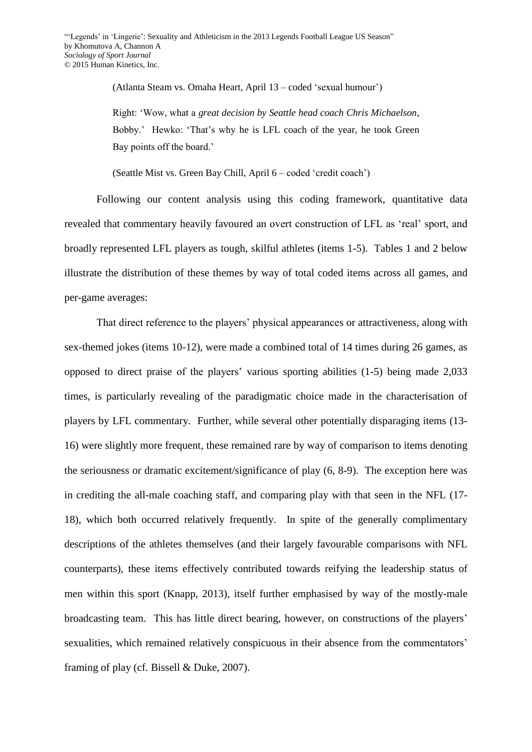(Atlanta Steam vs. Omaha Heart, April 13 – coded 'sexual humour')

Right: 'Wow, what a *great decision by Seattle head coach Chris Michaelson*, Bobby.' Hewko: 'That's why he is LFL coach of the year, he took Green Bay points off the board.'

(Seattle Mist vs. Green Bay Chill, April 6 – coded 'credit coach')

Following our content analysis using this coding framework, quantitative data revealed that commentary heavily favoured an overt construction of LFL as 'real' sport, and broadly represented LFL players as tough, skilful athletes (items 1-5). Tables 1 and 2 below illustrate the distribution of these themes by way of total coded items across all games, and per-game averages:

That direct reference to the players' physical appearances or attractiveness, along with sex-themed jokes (items 10-12), were made a combined total of 14 times during 26 games, as opposed to direct praise of the players' various sporting abilities (1-5) being made 2,033 times, is particularly revealing of the paradigmatic choice made in the characterisation of players by LFL commentary. Further, while several other potentially disparaging items (13- 16) were slightly more frequent, these remained rare by way of comparison to items denoting the seriousness or dramatic excitement/significance of play (6, 8-9). The exception here was in crediting the all-male coaching staff, and comparing play with that seen in the NFL (17- 18), which both occurred relatively frequently. In spite of the generally complimentary descriptions of the athletes themselves (and their largely favourable comparisons with NFL counterparts), these items effectively contributed towards reifying the leadership status of men within this sport (Knapp, 2013), itself further emphasised by way of the mostly-male broadcasting team. This has little direct bearing, however, on constructions of the players' sexualities, which remained relatively conspicuous in their absence from the commentators' framing of play (cf. Bissell & Duke, 2007).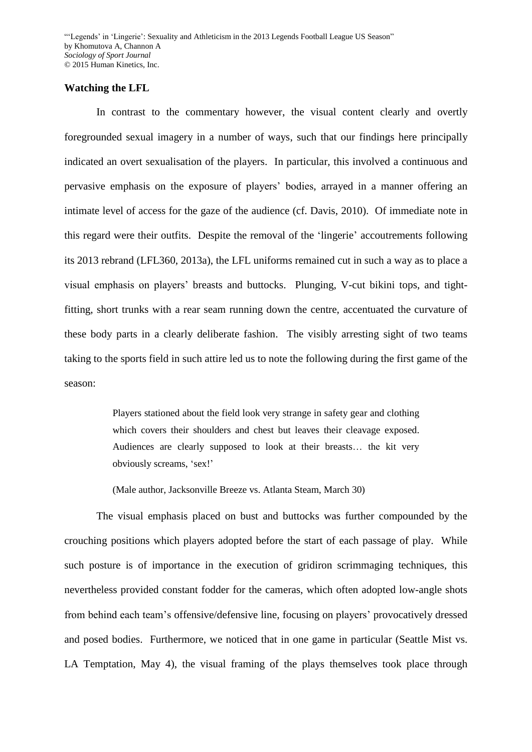#### **Watching the LFL**

In contrast to the commentary however, the visual content clearly and overtly foregrounded sexual imagery in a number of ways, such that our findings here principally indicated an overt sexualisation of the players. In particular, this involved a continuous and pervasive emphasis on the exposure of players' bodies, arrayed in a manner offering an intimate level of access for the gaze of the audience (cf. Davis, 2010). Of immediate note in this regard were their outfits. Despite the removal of the 'lingerie' accoutrements following its 2013 rebrand (LFL360, 2013a), the LFL uniforms remained cut in such a way as to place a visual emphasis on players' breasts and buttocks. Plunging, V-cut bikini tops, and tightfitting, short trunks with a rear seam running down the centre, accentuated the curvature of these body parts in a clearly deliberate fashion. The visibly arresting sight of two teams taking to the sports field in such attire led us to note the following during the first game of the season:

> Players stationed about the field look very strange in safety gear and clothing which covers their shoulders and chest but leaves their cleavage exposed. Audiences are clearly supposed to look at their breasts… the kit very obviously screams, 'sex!'

(Male author, Jacksonville Breeze vs. Atlanta Steam, March 30)

The visual emphasis placed on bust and buttocks was further compounded by the crouching positions which players adopted before the start of each passage of play. While such posture is of importance in the execution of gridiron scrimmaging techniques, this nevertheless provided constant fodder for the cameras, which often adopted low-angle shots from behind each team's offensive/defensive line, focusing on players' provocatively dressed and posed bodies. Furthermore, we noticed that in one game in particular (Seattle Mist vs. LA Temptation, May 4), the visual framing of the plays themselves took place through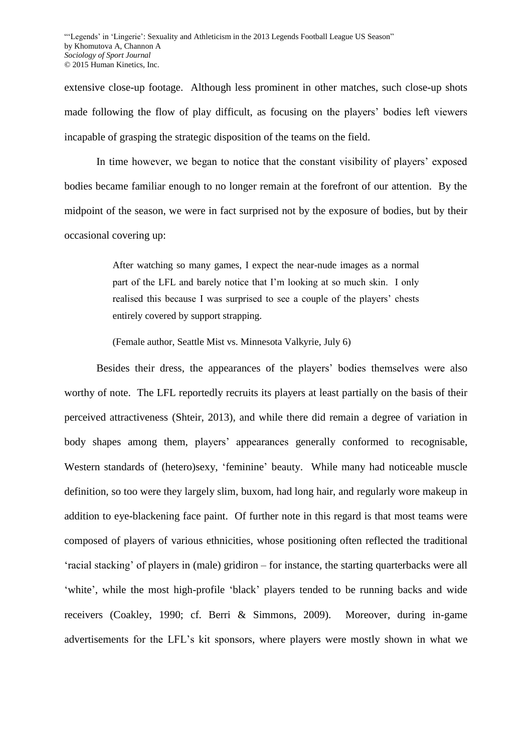extensive close-up footage. Although less prominent in other matches, such close-up shots made following the flow of play difficult, as focusing on the players' bodies left viewers incapable of grasping the strategic disposition of the teams on the field.

In time however, we began to notice that the constant visibility of players' exposed bodies became familiar enough to no longer remain at the forefront of our attention. By the midpoint of the season, we were in fact surprised not by the exposure of bodies, but by their occasional covering up:

> After watching so many games, I expect the near-nude images as a normal part of the LFL and barely notice that I'm looking at so much skin. I only realised this because I was surprised to see a couple of the players' chests entirely covered by support strapping.

(Female author, Seattle Mist vs. Minnesota Valkyrie, July 6)

Besides their dress, the appearances of the players' bodies themselves were also worthy of note. The LFL reportedly recruits its players at least partially on the basis of their perceived attractiveness (Shteir, 2013), and while there did remain a degree of variation in body shapes among them, players' appearances generally conformed to recognisable, Western standards of (hetero)sexy, 'feminine' beauty. While many had noticeable muscle definition, so too were they largely slim, buxom, had long hair, and regularly wore makeup in addition to eye-blackening face paint. Of further note in this regard is that most teams were composed of players of various ethnicities, whose positioning often reflected the traditional 'racial stacking' of players in (male) gridiron – for instance, the starting quarterbacks were all 'white', while the most high-profile 'black' players tended to be running backs and wide receivers (Coakley, 1990; cf. Berri & Simmons, 2009). Moreover, during in-game advertisements for the LFL's kit sponsors, where players were mostly shown in what we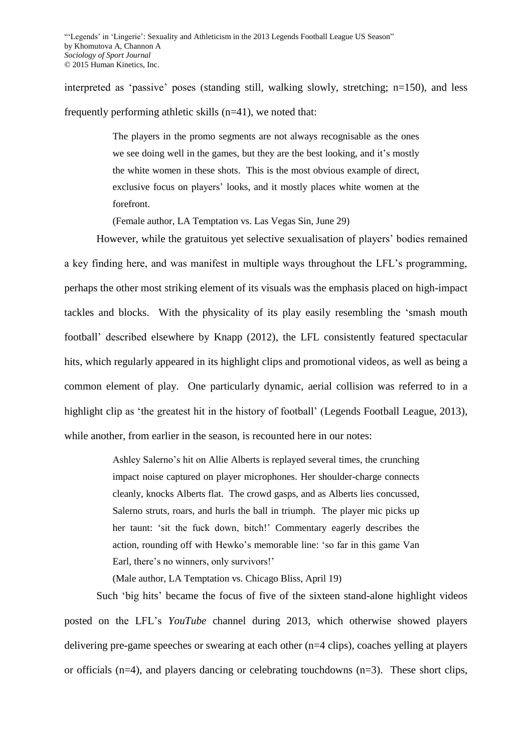interpreted as 'passive' poses (standing still, walking slowly, stretching; n=150), and less frequently performing athletic skills (n=41), we noted that:

> The players in the promo segments are not always recognisable as the ones we see doing well in the games, but they are the best looking, and it's mostly the white women in these shots. This is the most obvious example of direct, exclusive focus on players' looks, and it mostly places white women at the forefront.

(Female author, LA Temptation vs. Las Vegas Sin, June 29)

However, while the gratuitous yet selective sexualisation of players' bodies remained a key finding here, and was manifest in multiple ways throughout the LFL's programming, perhaps the other most striking element of its visuals was the emphasis placed on high-impact tackles and blocks. With the physicality of its play easily resembling the 'smash mouth football' described elsewhere by Knapp (2012), the LFL consistently featured spectacular hits, which regularly appeared in its highlight clips and promotional videos, as well as being a common element of play. One particularly dynamic, aerial collision was referred to in a highlight clip as 'the greatest hit in the history of football' (Legends Football League, 2013), while another, from earlier in the season, is recounted here in our notes:

> Ashley Salerno's hit on Allie Alberts is replayed several times, the crunching impact noise captured on player microphones. Her shoulder-charge connects cleanly, knocks Alberts flat. The crowd gasps, and as Alberts lies concussed, Salerno struts, roars, and hurls the ball in triumph. The player mic picks up her taunt: 'sit the fuck down, bitch!' Commentary eagerly describes the action, rounding off with Hewko's memorable line: 'so far in this game Van Earl, there's no winners, only survivors!'

(Male author, LA Temptation vs. Chicago Bliss, April 19)

Such 'big hits' became the focus of five of the sixteen stand-alone highlight videos posted on the LFL's *YouTube* channel during 2013, which otherwise showed players delivering pre-game speeches or swearing at each other (n=4 clips), coaches yelling at players or officials ( $n=4$ ), and players dancing or celebrating touchdowns ( $n=3$ ). These short clips,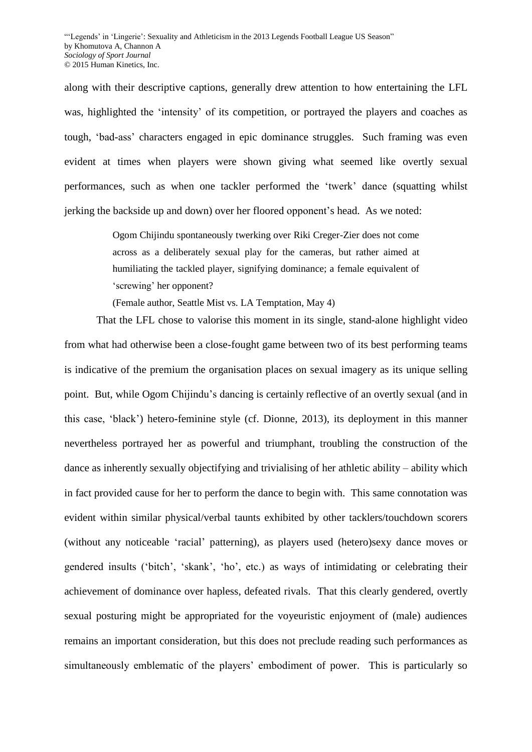along with their descriptive captions, generally drew attention to how entertaining the LFL was, highlighted the 'intensity' of its competition, or portrayed the players and coaches as tough, 'bad-ass' characters engaged in epic dominance struggles. Such framing was even evident at times when players were shown giving what seemed like overtly sexual performances, such as when one tackler performed the 'twerk' dance (squatting whilst jerking the backside up and down) over her floored opponent's head. As we noted:

> Ogom Chijindu spontaneously twerking over Riki Creger-Zier does not come across as a deliberately sexual play for the cameras, but rather aimed at humiliating the tackled player, signifying dominance; a female equivalent of 'screwing' her opponent?

(Female author, Seattle Mist vs. LA Temptation, May 4)

That the LFL chose to valorise this moment in its single, stand-alone highlight video from what had otherwise been a close-fought game between two of its best performing teams is indicative of the premium the organisation places on sexual imagery as its unique selling point. But, while Ogom Chijindu's dancing is certainly reflective of an overtly sexual (and in this case, 'black') hetero-feminine style (cf. Dionne, 2013), its deployment in this manner nevertheless portrayed her as powerful and triumphant, troubling the construction of the dance as inherently sexually objectifying and trivialising of her athletic ability – ability which in fact provided cause for her to perform the dance to begin with. This same connotation was evident within similar physical/verbal taunts exhibited by other tacklers/touchdown scorers (without any noticeable 'racial' patterning), as players used (hetero)sexy dance moves or gendered insults ('bitch', 'skank', 'ho', etc.) as ways of intimidating or celebrating their achievement of dominance over hapless, defeated rivals. That this clearly gendered, overtly sexual posturing might be appropriated for the voyeuristic enjoyment of (male) audiences remains an important consideration, but this does not preclude reading such performances as simultaneously emblematic of the players' embodiment of power. This is particularly so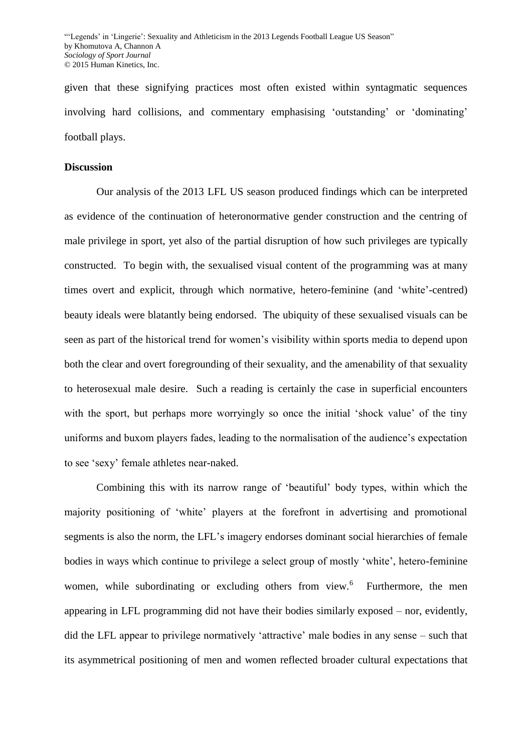given that these signifying practices most often existed within syntagmatic sequences involving hard collisions, and commentary emphasising 'outstanding' or 'dominating' football plays.

## **Discussion**

Our analysis of the 2013 LFL US season produced findings which can be interpreted as evidence of the continuation of heteronormative gender construction and the centring of male privilege in sport, yet also of the partial disruption of how such privileges are typically constructed. To begin with, the sexualised visual content of the programming was at many times overt and explicit, through which normative, hetero-feminine (and 'white'-centred) beauty ideals were blatantly being endorsed. The ubiquity of these sexualised visuals can be seen as part of the historical trend for women's visibility within sports media to depend upon both the clear and overt foregrounding of their sexuality, and the amenability of that sexuality to heterosexual male desire. Such a reading is certainly the case in superficial encounters with the sport, but perhaps more worryingly so once the initial 'shock value' of the tiny uniforms and buxom players fades, leading to the normalisation of the audience's expectation to see 'sexy' female athletes near-naked.

Combining this with its narrow range of 'beautiful' body types, within which the majority positioning of 'white' players at the forefront in advertising and promotional segments is also the norm, the LFL's imagery endorses dominant social hierarchies of female bodies in ways which continue to privilege a select group of mostly 'white', hetero-feminine women, while subordinating or excluding others from view.<sup>6</sup> Furthermore, the men appearing in LFL programming did not have their bodies similarly exposed – nor, evidently, did the LFL appear to privilege normatively 'attractive' male bodies in any sense – such that its asymmetrical positioning of men and women reflected broader cultural expectations that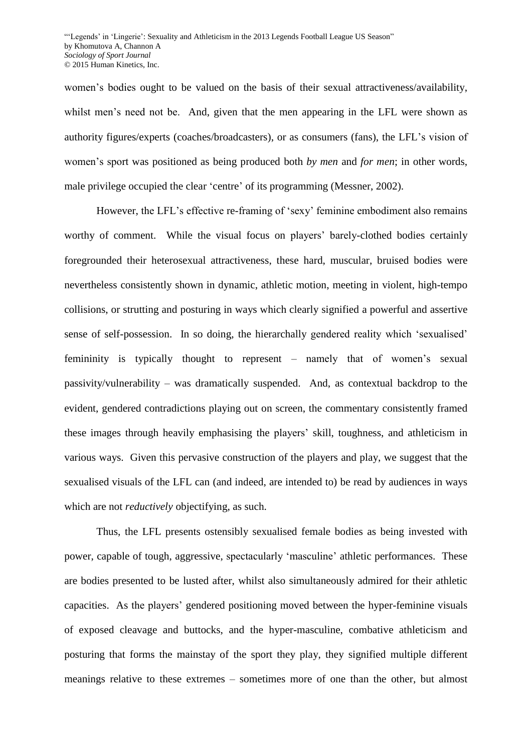women's bodies ought to be valued on the basis of their sexual attractiveness/availability, whilst men's need not be. And, given that the men appearing in the LFL were shown as authority figures/experts (coaches/broadcasters), or as consumers (fans), the LFL's vision of women's sport was positioned as being produced both *by men* and *for men*; in other words, male privilege occupied the clear 'centre' of its programming (Messner, 2002).

However, the LFL's effective re-framing of 'sexy' feminine embodiment also remains worthy of comment. While the visual focus on players' barely-clothed bodies certainly foregrounded their heterosexual attractiveness, these hard, muscular, bruised bodies were nevertheless consistently shown in dynamic, athletic motion, meeting in violent, high-tempo collisions, or strutting and posturing in ways which clearly signified a powerful and assertive sense of self-possession. In so doing, the hierarchally gendered reality which 'sexualised' femininity is typically thought to represent – namely that of women's sexual passivity/vulnerability – was dramatically suspended. And, as contextual backdrop to the evident, gendered contradictions playing out on screen, the commentary consistently framed these images through heavily emphasising the players' skill, toughness, and athleticism in various ways. Given this pervasive construction of the players and play, we suggest that the sexualised visuals of the LFL can (and indeed, are intended to) be read by audiences in ways which are not *reductively* objectifying, as such.

Thus, the LFL presents ostensibly sexualised female bodies as being invested with power, capable of tough, aggressive, spectacularly 'masculine' athletic performances. These are bodies presented to be lusted after, whilst also simultaneously admired for their athletic capacities. As the players' gendered positioning moved between the hyper-feminine visuals of exposed cleavage and buttocks, and the hyper-masculine, combative athleticism and posturing that forms the mainstay of the sport they play, they signified multiple different meanings relative to these extremes – sometimes more of one than the other, but almost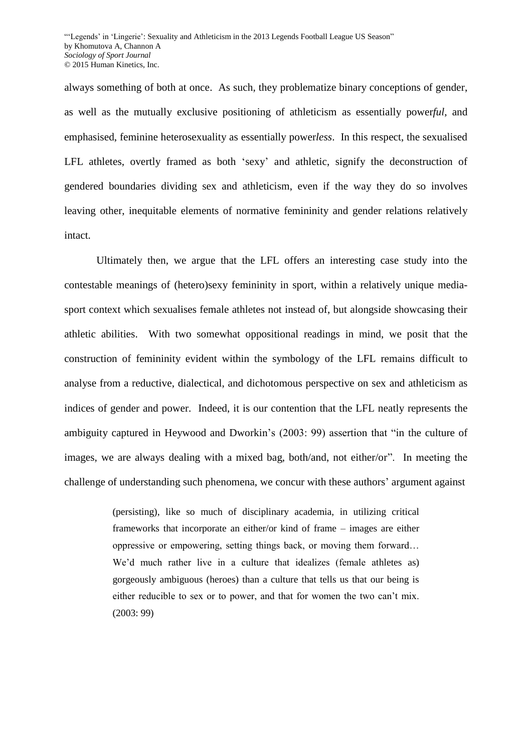always something of both at once. As such, they problematize binary conceptions of gender, as well as the mutually exclusive positioning of athleticism as essentially power*ful*, and emphasised, feminine heterosexuality as essentially power*less*. In this respect, the sexualised LFL athletes, overtly framed as both 'sexy' and athletic, signify the deconstruction of gendered boundaries dividing sex and athleticism, even if the way they do so involves leaving other, inequitable elements of normative femininity and gender relations relatively intact.

Ultimately then, we argue that the LFL offers an interesting case study into the contestable meanings of (hetero)sexy femininity in sport, within a relatively unique mediasport context which sexualises female athletes not instead of, but alongside showcasing their athletic abilities. With two somewhat oppositional readings in mind, we posit that the construction of femininity evident within the symbology of the LFL remains difficult to analyse from a reductive, dialectical, and dichotomous perspective on sex and athleticism as indices of gender and power. Indeed, it is our contention that the LFL neatly represents the ambiguity captured in Heywood and Dworkin's (2003: 99) assertion that "in the culture of images, we are always dealing with a mixed bag, both/and, not either/or". In meeting the challenge of understanding such phenomena, we concur with these authors' argument against

> (persisting), like so much of disciplinary academia, in utilizing critical frameworks that incorporate an either/or kind of frame – images are either oppressive or empowering, setting things back, or moving them forward… We'd much rather live in a culture that idealizes (female athletes as) gorgeously ambiguous (heroes) than a culture that tells us that our being is either reducible to sex or to power, and that for women the two can't mix. (2003: 99)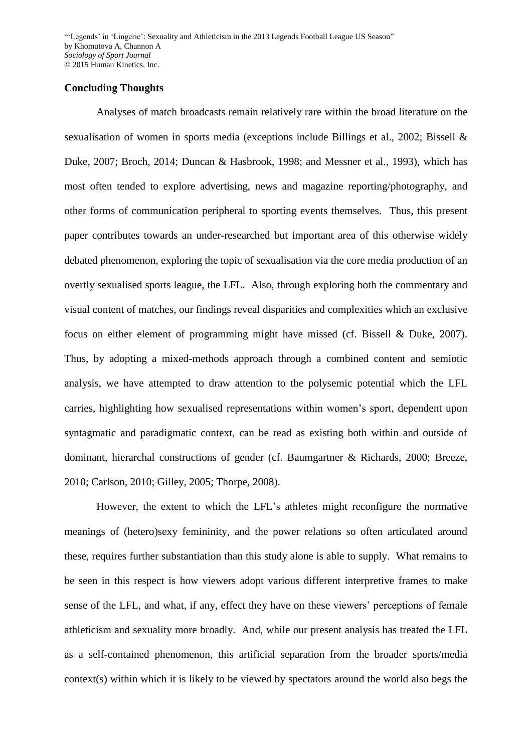#### **Concluding Thoughts**

Analyses of match broadcasts remain relatively rare within the broad literature on the sexualisation of women in sports media (exceptions include Billings et al., 2002; Bissell & Duke, 2007; Broch, 2014; Duncan & Hasbrook, 1998; and Messner et al., 1993), which has most often tended to explore advertising, news and magazine reporting/photography, and other forms of communication peripheral to sporting events themselves. Thus, this present paper contributes towards an under-researched but important area of this otherwise widely debated phenomenon, exploring the topic of sexualisation via the core media production of an overtly sexualised sports league, the LFL. Also, through exploring both the commentary and visual content of matches, our findings reveal disparities and complexities which an exclusive focus on either element of programming might have missed (cf. Bissell & Duke, 2007). Thus, by adopting a mixed-methods approach through a combined content and semiotic analysis, we have attempted to draw attention to the polysemic potential which the LFL carries, highlighting how sexualised representations within women's sport, dependent upon syntagmatic and paradigmatic context, can be read as existing both within and outside of dominant, hierarchal constructions of gender (cf. Baumgartner & Richards, 2000; Breeze, 2010; Carlson, 2010; Gilley, 2005; Thorpe, 2008).

However, the extent to which the LFL's athletes might reconfigure the normative meanings of (hetero)sexy femininity, and the power relations so often articulated around these, requires further substantiation than this study alone is able to supply. What remains to be seen in this respect is how viewers adopt various different interpretive frames to make sense of the LFL, and what, if any, effect they have on these viewers' perceptions of female athleticism and sexuality more broadly. And, while our present analysis has treated the LFL as a self-contained phenomenon, this artificial separation from the broader sports/media context(s) within which it is likely to be viewed by spectators around the world also begs the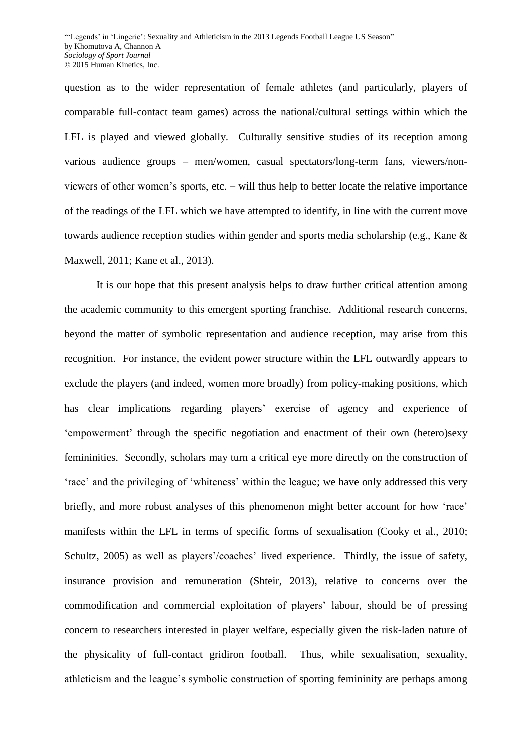question as to the wider representation of female athletes (and particularly, players of comparable full-contact team games) across the national/cultural settings within which the LFL is played and viewed globally. Culturally sensitive studies of its reception among various audience groups – men/women, casual spectators/long-term fans, viewers/nonviewers of other women's sports, etc. – will thus help to better locate the relative importance of the readings of the LFL which we have attempted to identify, in line with the current move towards audience reception studies within gender and sports media scholarship (e.g., Kane & Maxwell, 2011; Kane et al., 2013).

It is our hope that this present analysis helps to draw further critical attention among the academic community to this emergent sporting franchise. Additional research concerns, beyond the matter of symbolic representation and audience reception, may arise from this recognition. For instance, the evident power structure within the LFL outwardly appears to exclude the players (and indeed, women more broadly) from policy-making positions, which has clear implications regarding players' exercise of agency and experience of 'empowerment' through the specific negotiation and enactment of their own (hetero)sexy femininities. Secondly, scholars may turn a critical eye more directly on the construction of 'race' and the privileging of 'whiteness' within the league; we have only addressed this very briefly, and more robust analyses of this phenomenon might better account for how 'race' manifests within the LFL in terms of specific forms of sexualisation (Cooky et al., 2010; Schultz, 2005) as well as players'/coaches' lived experience. Thirdly, the issue of safety, insurance provision and remuneration (Shteir, 2013), relative to concerns over the commodification and commercial exploitation of players' labour, should be of pressing concern to researchers interested in player welfare, especially given the risk-laden nature of the physicality of full-contact gridiron football. Thus, while sexualisation, sexuality, athleticism and the league's symbolic construction of sporting femininity are perhaps among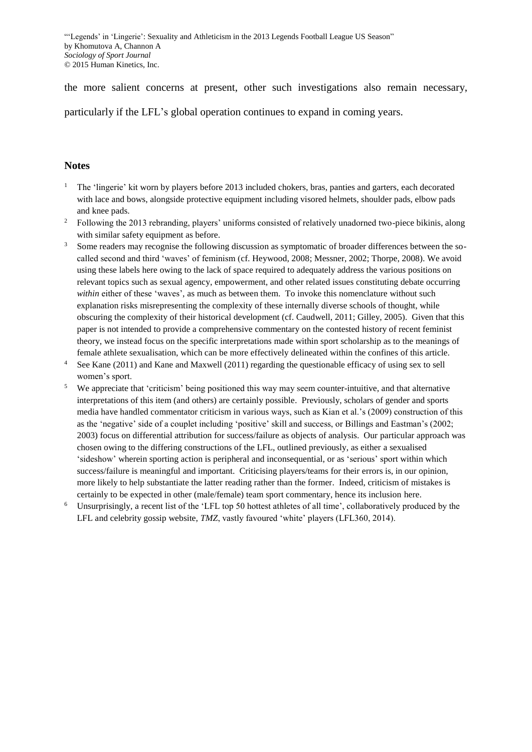the more salient concerns at present, other such investigations also remain necessary,

particularly if the LFL's global operation continues to expand in coming years.

#### **Notes**

- 1 The 'lingerie' kit worn by players before 2013 included chokers, bras, panties and garters, each decorated with lace and bows, alongside protective equipment including visored helmets, shoulder pads, elbow pads and knee pads.
- 2 Following the 2013 rebranding, players' uniforms consisted of relatively unadorned two-piece bikinis, along with similar safety equipment as before.
- 3 Some readers may recognise the following discussion as symptomatic of broader differences between the socalled second and third 'waves' of feminism (cf. Heywood, 2008; Messner, 2002; Thorpe, 2008). We avoid using these labels here owing to the lack of space required to adequately address the various positions on relevant topics such as sexual agency, empowerment, and other related issues constituting debate occurring *within* either of these 'waves', as much as between them. To invoke this nomenclature without such explanation risks misrepresenting the complexity of these internally diverse schools of thought, while obscuring the complexity of their historical development (cf. Caudwell, 2011; Gilley, 2005). Given that this paper is not intended to provide a comprehensive commentary on the contested history of recent feminist theory, we instead focus on the specific interpretations made within sport scholarship as to the meanings of female athlete sexualisation, which can be more effectively delineated within the confines of this article.
- 4 See Kane (2011) and Kane and Maxwell (2011) regarding the questionable efficacy of using sex to sell women's sport.
- 5 We appreciate that 'criticism' being positioned this way may seem counter-intuitive, and that alternative interpretations of this item (and others) are certainly possible. Previously, scholars of gender and sports media have handled commentator criticism in various ways, such as Kian et al.'s (2009) construction of this as the 'negative' side of a couplet including 'positive' skill and success, or Billings and Eastman's (2002; 2003) focus on differential attribution for success/failure as objects of analysis. Our particular approach was chosen owing to the differing constructions of the LFL, outlined previously, as either a sexualised 'sideshow' wherein sporting action is peripheral and inconsequential, or as 'serious' sport within which success/failure is meaningful and important. Criticising players/teams for their errors is, in our opinion, more likely to help substantiate the latter reading rather than the former. Indeed, criticism of mistakes is certainly to be expected in other (male/female) team sport commentary, hence its inclusion here.
- 6 Unsurprisingly, a recent list of the 'LFL top 50 hottest athletes of all time', collaboratively produced by the LFL and celebrity gossip website, *TMZ*, vastly favoured 'white' players (LFL360, 2014).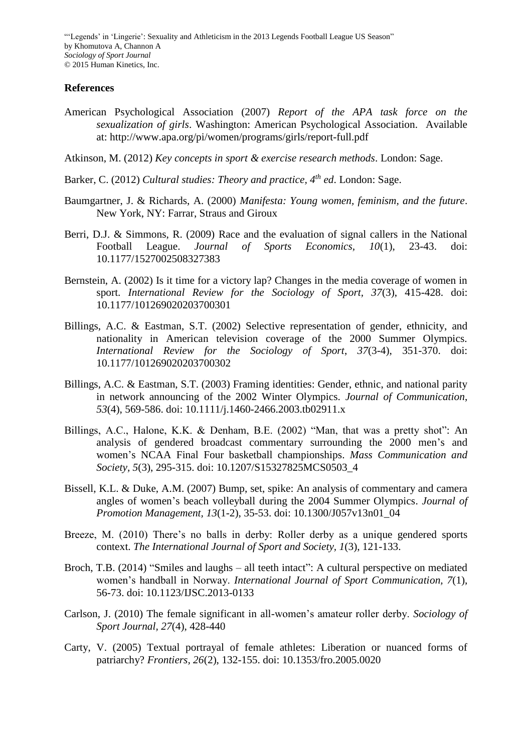## **References**

American Psychological Association (2007) *Report of the APA task force on the sexualization of girls*. Washington: American Psychological Association. Available at: http://www.apa.org/pi/women/programs/girls/report-full.pdf

Atkinson, M. (2012) *Key concepts in sport & exercise research methods*. London: Sage.

- Barker, C. (2012) *Cultural studies: Theory and practice, 4th ed*. London: Sage.
- Baumgartner, J. & Richards, A. (2000) *Manifesta: Young women, feminism, and the future*. New York, NY: Farrar, Straus and Giroux
- Berri, D.J. & Simmons, R. (2009) Race and the evaluation of signal callers in the National Football League. *Journal of Sports Economics, 10*(1), 23-43. doi: 10.1177/1527002508327383
- Bernstein, A. (2002) Is it time for a victory lap? Changes in the media coverage of women in sport. *International Review for the Sociology of Sport, 37*(3), 415-428. doi: 10.1177/101269020203700301
- Billings, A.C. & Eastman, S.T. (2002) Selective representation of gender, ethnicity, and nationality in American television coverage of the 2000 Summer Olympics. *International Review for the Sociology of Sport*, *37*(3-4), 351-370. doi: 10.1177/101269020203700302
- Billings, A.C. & Eastman, S.T. (2003) Framing identities: Gender, ethnic, and national parity in network announcing of the 2002 Winter Olympics. *Journal of Communication*, *53*(4), 569-586. doi: 10.1111/j.1460-2466.2003.tb02911.x
- Billings, A.C., Halone, K.K. & Denham, B.E. (2002) "Man, that was a pretty shot": An analysis of gendered broadcast commentary surrounding the 2000 men's and women's NCAA Final Four basketball championships. *Mass Communication and Society, 5*(3), 295-315. doi: 10.1207/S15327825MCS0503\_4
- Bissell, K.L. & Duke, A.M. (2007) Bump, set, spike: An analysis of commentary and camera angles of women's beach volleyball during the 2004 Summer Olympics. *Journal of Promotion Management, 13*(1-2), 35-53. doi: 10.1300/J057v13n01\_04
- Breeze, M. (2010) There's no balls in derby: Roller derby as a unique gendered sports context. *The International Journal of Sport and Society, 1*(3), 121-133.
- Broch, T.B. (2014) "Smiles and laughs all teeth intact": A cultural perspective on mediated women's handball in Norway. *International Journal of Sport Communication, 7*(1), 56-73. doi: 10.1123/IJSC.2013-0133
- Carlson, J. (2010) The female significant in all-women's amateur roller derby. *Sociology of Sport Journal, 27*(4), 428-440
- Carty, V. (2005) Textual portrayal of female athletes: Liberation or nuanced forms of patriarchy? *Frontiers, 26*(2), 132-155. doi: 10.1353/fro.2005.0020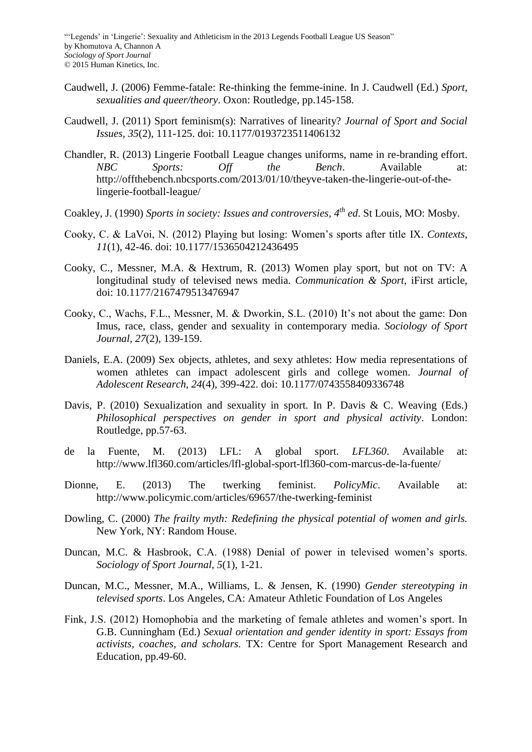- Caudwell, J. (2006) Femme-fatale: Re-thinking the femme-inine. In J. Caudwell (Ed.) *Sport, sexualities and queer/theory*. Oxon: Routledge, pp.145-158.
- Caudwell, J. (2011) Sport feminism(s): Narratives of linearity? *Journal of Sport and Social Issues, 35*(2), 111-125. doi: 10.1177/0193723511406132
- Chandler, R. (2013) Lingerie Football League changes uniforms, name in re-branding effort. *NBC Sports: Off the Bench*. Available at: http://offthebench.nbcsports.com/2013/01/10/theyve-taken-the-lingerie-out-of-thelingerie-football-league/
- Coakley, J. (1990) *Sports in society: Issues and controversies, 4th ed*. St Louis, MO: Mosby.
- Cooky, C. & LaVoi, N. (2012) Playing but losing: Women's sports after title IX. *Contexts, 11*(1), 42-46. doi: 10.1177/1536504212436495
- Cooky, C., Messner, M.A. & Hextrum, R. (2013) Women play sport, but not on TV: A longitudinal study of televised news media. *Communication & Sport*, iFirst article, doi: 10.1177/2167479513476947
- Cooky, C., Wachs, F.L., Messner, M. & Dworkin, S.L. (2010) It's not about the game: Don Imus, race, class, gender and sexuality in contemporary media. *Sociology of Sport Journal, 27*(2), 139-159.
- Daniels, E.A. (2009) Sex objects, athletes, and sexy athletes: How media representations of women athletes can impact adolescent girls and college women. *Journal of Adolescent Research, 24*(4), 399-422. doi: 10.1177/0743558409336748
- Davis, P. (2010) Sexualization and sexuality in sport. In P. Davis & C. Weaving (Eds.) *Philosophical perspectives on gender in sport and physical activity*. London: Routledge, pp.57-63.
- de la Fuente, M. (2013) LFL: A global sport. *LFL360*. Available at: http://www.lfl360.com/articles/lfl-global-sport-lfl360-com-marcus-de-la-fuente/
- Dionne, E. (2013) The twerking feminist. *PolicyMic*. Available at: http://www.policymic.com/articles/69657/the-twerking-feminist
- Dowling, C. (2000) *The frailty myth: Redefining the physical potential of women and girls.*  New York, NY: Random House.
- Duncan, M.C. & Hasbrook, C.A. (1988) Denial of power in televised women's sports. *Sociology of Sport Journal, 5*(1), 1-21.
- Duncan, M.C., Messner, M.A., Williams, L. & Jensen, K. (1990) *Gender stereotyping in televised sports*. Los Angeles, CA: Amateur Athletic Foundation of Los Angeles
- Fink, J.S. (2012) Homophobia and the marketing of female athletes and women's sport. In G.B. Cunningham (Ed.) *Sexual orientation and gender identity in sport: Essays from activists, coaches, and scholars.* TX: Centre for Sport Management Research and Education, pp.49-60.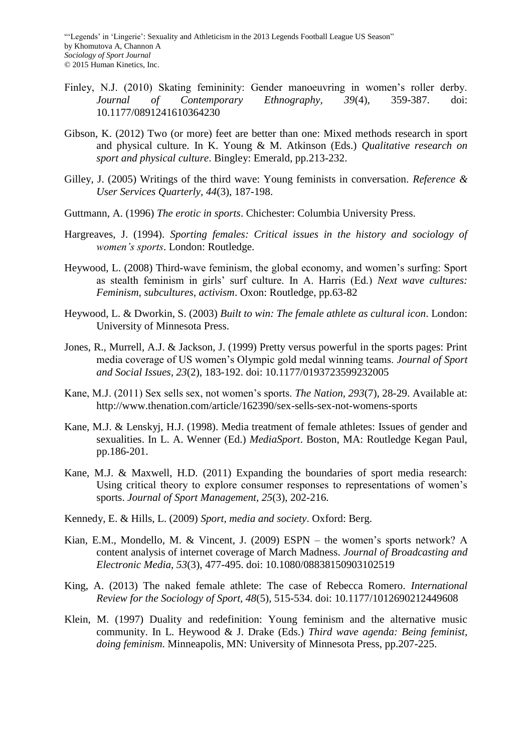- Finley, N.J. (2010) Skating femininity: Gender manoeuvring in women's roller derby. *Journal of Contemporary Ethnography, 39*(4), 359-387. doi: 10.1177/0891241610364230
- Gibson, K. (2012) Two (or more) feet are better than one: Mixed methods research in sport and physical culture. In K. Young & M. Atkinson (Eds.) *Qualitative research on sport and physical culture*. Bingley: Emerald, pp.213-232.
- Gilley, J. (2005) Writings of the third wave: Young feminists in conversation. *Reference & User Services Quarterly, 44*(3), 187-198.
- Guttmann, A. (1996) *The erotic in sports*. Chichester: Columbia University Press.
- Hargreaves, J. (1994). *Sporting females: Critical issues in the history and sociology of women's sports*. London: Routledge.
- Heywood, L. (2008) Third-wave feminism, the global economy, and women's surfing: Sport as stealth feminism in girls' surf culture. In A. Harris (Ed.) *Next wave cultures: Feminism, subcultures, activism*. Oxon: Routledge, pp.63-82
- Heywood, L. & Dworkin, S. (2003) *Built to win: The female athlete as cultural icon*. London: University of Minnesota Press.
- Jones, R., Murrell, A.J. & Jackson, J. (1999) Pretty versus powerful in the sports pages: Print media coverage of US women's Olympic gold medal winning teams. *Journal of Sport and Social Issues, 23*(2), 183-192. doi: 10.1177/0193723599232005
- Kane, M.J. (2011) Sex sells sex, not women's sports. *The Nation, 293*(7), 28-29. Available at: http://www.thenation.com/article/162390/sex-sells-sex-not-womens-sports
- Kane, M.J. & Lenskyj, H.J. (1998). Media treatment of female athletes: Issues of gender and sexualities. In L. A. Wenner (Ed.) *MediaSport*. Boston, MA: Routledge Kegan Paul, pp.186-201.
- Kane, M.J. & Maxwell, H.D. (2011) Expanding the boundaries of sport media research: Using critical theory to explore consumer responses to representations of women's sports. *Journal of Sport Management, 25*(3), 202-216.
- Kennedy, E. & Hills, L. (2009) *Sport, media and society*. Oxford: Berg.
- Kian, E.M., Mondello, M. & Vincent, J. (2009) ESPN the women's sports network? A content analysis of internet coverage of March Madness. *Journal of Broadcasting and Electronic Media, 53*(3), 477-495. doi: 10.1080/08838150903102519
- King, A. (2013) The naked female athlete: The case of Rebecca Romero. *International Review for the Sociology of Sport, 48*(5), 515-534. doi: 10.1177/1012690212449608
- Klein, M. (1997) Duality and redefinition: Young feminism and the alternative music community. In L. Heywood & J. Drake (Eds.) *Third wave agenda: Being feminist, doing feminism*. Minneapolis, MN: University of Minnesota Press, pp.207-225.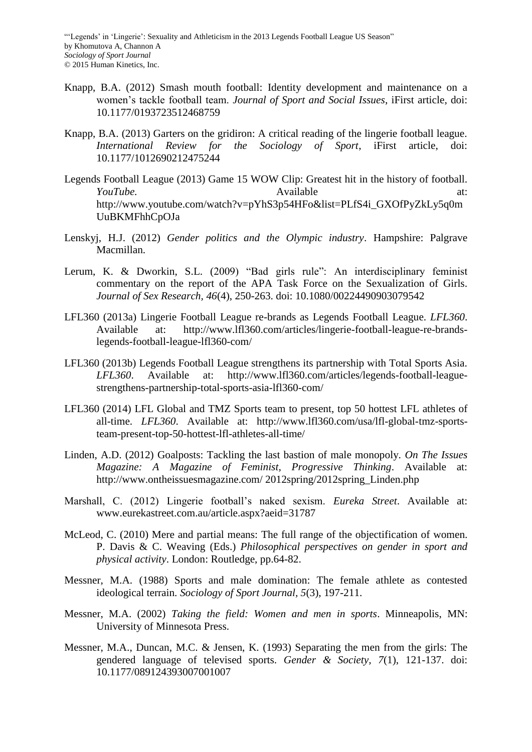- Knapp, B.A. (2012) Smash mouth football: Identity development and maintenance on a women's tackle football team. *Journal of Sport and Social Issues*, iFirst article, doi: 10.1177/0193723512468759
- Knapp, B.A. (2013) Garters on the gridiron: A critical reading of the lingerie football league. *International Review for the Sociology of Sport*, iFirst article, doi: 10.1177/1012690212475244
- Legends Football League (2013) Game 15 WOW Clip: Greatest hit in the history of football. *YouTube.* Available at: http://www.youtube.com/watch?v=pYhS3p54HFo&list=PLfS4i\_GXOfPyZkLy5q0m UuBKMFhhCpOJa
- Lenskyj, H.J. (2012) *Gender politics and the Olympic industry*. Hampshire: Palgrave Macmillan.
- Lerum, K. & Dworkin, S.L. (2009) "Bad girls rule": An interdisciplinary feminist commentary on the report of the APA Task Force on the Sexualization of Girls. *Journal of Sex Research, 46*(4), 250-263. doi: 10.1080/00224490903079542
- LFL360 (2013a) Lingerie Football League re-brands as Legends Football League. *LFL360*. Available at: http://www.lfl360.com/articles/lingerie-football-league-re-brandslegends-football-league-lfl360-com/
- LFL360 (2013b) Legends Football League strengthens its partnership with Total Sports Asia. *LFL360*. Available at: http://www.lfl360.com/articles/legends-football-leaguestrengthens-partnership-total-sports-asia-lfl360-com/
- LFL360 (2014) LFL Global and TMZ Sports team to present, top 50 hottest LFL athletes of all-time. *LFL360*. Available at: http://www.lfl360.com/usa/lfl-global-tmz-sportsteam-present-top-50-hottest-lfl-athletes-all-time/
- Linden, A.D. (2012) Goalposts: Tackling the last bastion of male monopoly. *On The Issues Magazine: A Magazine of Feminist, Progressive Thinking*. Available at: http://www.ontheissuesmagazine.com/ 2012spring/2012spring\_Linden.php
- Marshall, C. (2012) Lingerie football's naked sexism. *Eureka Street*. Available at: www.eurekastreet.com.au/article.aspx?aeid=31787
- McLeod, C. (2010) Mere and partial means: The full range of the objectification of women. P. Davis & C. Weaving (Eds.) *Philosophical perspectives on gender in sport and physical activity*. London: Routledge, pp.64-82.
- Messner, M.A. (1988) Sports and male domination: The female athlete as contested ideological terrain. *Sociology of Sport Journal, 5*(3), 197-211.
- Messner, M.A. (2002) *Taking the field: Women and men in sports*. Minneapolis, MN: University of Minnesota Press.
- Messner, M.A., Duncan, M.C. & Jensen, K. (1993) Separating the men from the girls: The gendered language of televised sports. *Gender & Society, 7*(1), 121-137. doi: 10.1177/089124393007001007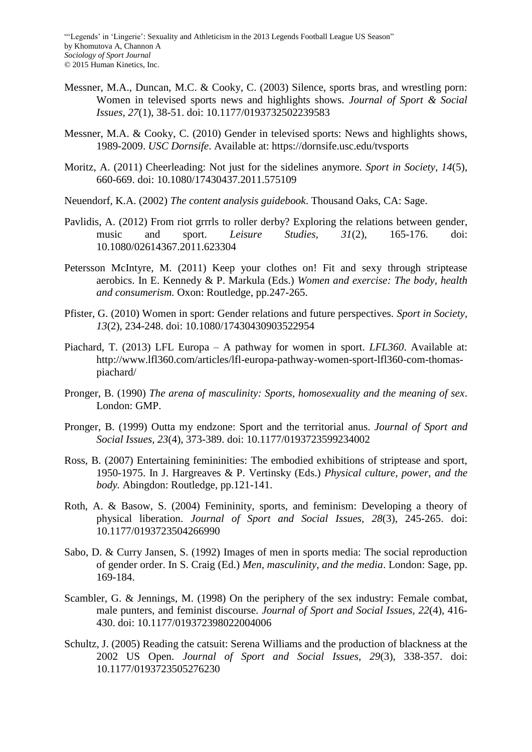- Messner, M.A., Duncan, M.C. & Cooky, C. (2003) Silence, sports bras, and wrestling porn: Women in televised sports news and highlights shows. *Journal of Sport & Social Issues, 27*(1), 38-51. doi: 10.1177/0193732502239583
- Messner, M.A. & Cooky, C. (2010) Gender in televised sports: News and highlights shows, 1989-2009. *USC Dornsife*. Available at: https://dornsife.usc.edu/tvsports
- Moritz, A. (2011) Cheerleading: Not just for the sidelines anymore. *Sport in Society, 14*(5), 660-669. doi: 10.1080/17430437.2011.575109
- Neuendorf, K.A. (2002) *The content analysis guidebook*. Thousand Oaks, CA: Sage.
- Pavlidis, A. (2012) From riot grrrls to roller derby? Exploring the relations between gender, music and sport. *Leisure Studies, 31*(2), 165-176. doi: 10.1080/02614367.2011.623304
- Petersson McIntyre, M. (2011) Keep your clothes on! Fit and sexy through striptease aerobics. In E. Kennedy & P. Markula (Eds.) *Women and exercise: The body, health and consumerism.* Oxon: Routledge, pp.247-265.
- Pfister, G. (2010) Women in sport: Gender relations and future perspectives. *Sport in Society, 13*(2), 234-248. doi: 10.1080/17430430903522954
- Piachard, T. (2013) LFL Europa A pathway for women in sport. *LFL360*. Available at: http://www.lfl360.com/articles/lfl-europa-pathway-women-sport-lfl360-com-thomaspiachard/
- Pronger, B. (1990) *The arena of masculinity: Sports, homosexuality and the meaning of sex*. London: GMP.
- Pronger, B. (1999) Outta my endzone: Sport and the territorial anus. *Journal of Sport and Social Issues, 23*(4), 373-389. doi: 10.1177/0193723599234002
- Ross, B. (2007) Entertaining femininities: The embodied exhibitions of striptease and sport, 1950-1975. In J. Hargreaves & P. Vertinsky (Eds.) *Physical culture, power, and the body.* Abingdon: Routledge, pp.121-141.
- Roth, A. & Basow, S. (2004) Femininity, sports, and feminism: Developing a theory of physical liberation. *Journal of Sport and Social Issues, 28*(3), 245-265. doi: 10.1177/0193723504266990
- Sabo, D. & Curry Jansen, S. (1992) Images of men in sports media: The social reproduction of gender order. In S. Craig (Ed.) *Men, masculinity, and the media*. London: Sage, pp. 169-184.
- Scambler, G. & Jennings, M. (1998) On the periphery of the sex industry: Female combat, male punters, and feminist discourse. *Journal of Sport and Social Issues, 22*(4), 416- 430. doi: 10.1177/019372398022004006
- Schultz, J. (2005) Reading the catsuit: Serena Williams and the production of blackness at the 2002 US Open. *Journal of Sport and Social Issues, 29*(3), 338-357. doi: 10.1177/0193723505276230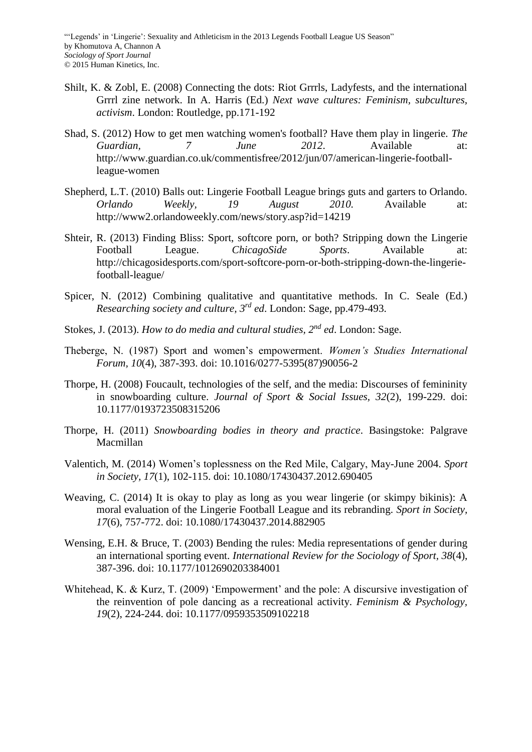- Shilt, K. & Zobl, E. (2008) Connecting the dots: Riot Grrrls, Ladyfests, and the international Grrrl zine network. In A. Harris (Ed.) *Next wave cultures: Feminism, subcultures, activism*. London: Routledge, pp.171-192
- Shad, S. (2012) How to get men watching women's football? Have them play in lingerie. *The Guardian, 7 June 2012*. Available at: http://www.guardian.co.uk/commentisfree/2012/jun/07/american-lingerie-footballleague-women
- Shepherd, L.T. (2010) Balls out: Lingerie Football League brings guts and garters to Orlando. *Orlando Weekly, 19 August 2010.* Available at: http://www2.orlandoweekly.com/news/story.asp?id=14219
- Shteir, R. (2013) Finding Bliss: Sport, softcore porn, or both? Stripping down the Lingerie Football League. *ChicagoSide Sports*. Available at: http://chicagosidesports.com/sport-softcore-porn-or-both-stripping-down-the-lingeriefootball-league/
- Spicer, N. (2012) Combining qualitative and quantitative methods. In C. Seale (Ed.) *Researching society and culture, 3rd ed*. London: Sage, pp.479-493.
- Stokes, J. (2013). *How to do media and cultural studies, 2nd ed*. London: Sage.
- Theberge, N. (1987) Sport and women's empowerment. *Women's Studies International Forum, 10*(4), 387-393. doi: 10.1016/0277-5395(87)90056-2
- Thorpe, H. (2008) Foucault, technologies of the self, and the media: Discourses of femininity in snowboarding culture. *Journal of Sport & Social Issues, 32*(2), 199-229. doi: 10.1177/0193723508315206
- Thorpe, H. (2011) *Snowboarding bodies in theory and practice*. Basingstoke: Palgrave Macmillan
- Valentich, M. (2014) Women's toplessness on the Red Mile, Calgary, May-June 2004. *Sport in Society, 17*(1), 102-115. doi: 10.1080/17430437.2012.690405
- Weaving, C. (2014) It is okay to play as long as you wear lingerie (or skimpy bikinis): A moral evaluation of the Lingerie Football League and its rebranding. *Sport in Society, 17*(6), 757-772. doi: 10.1080/17430437.2014.882905
- Wensing, E.H. & Bruce, T. (2003) Bending the rules: Media representations of gender during an international sporting event. *International Review for the Sociology of Sport, 38*(4), 387-396. doi: 10.1177/1012690203384001
- Whitehead, K. & Kurz, T. (2009) 'Empowerment' and the pole: A discursive investigation of the reinvention of pole dancing as a recreational activity. *Feminism & Psychology, 19*(2), 224-244. doi: 10.1177/0959353509102218